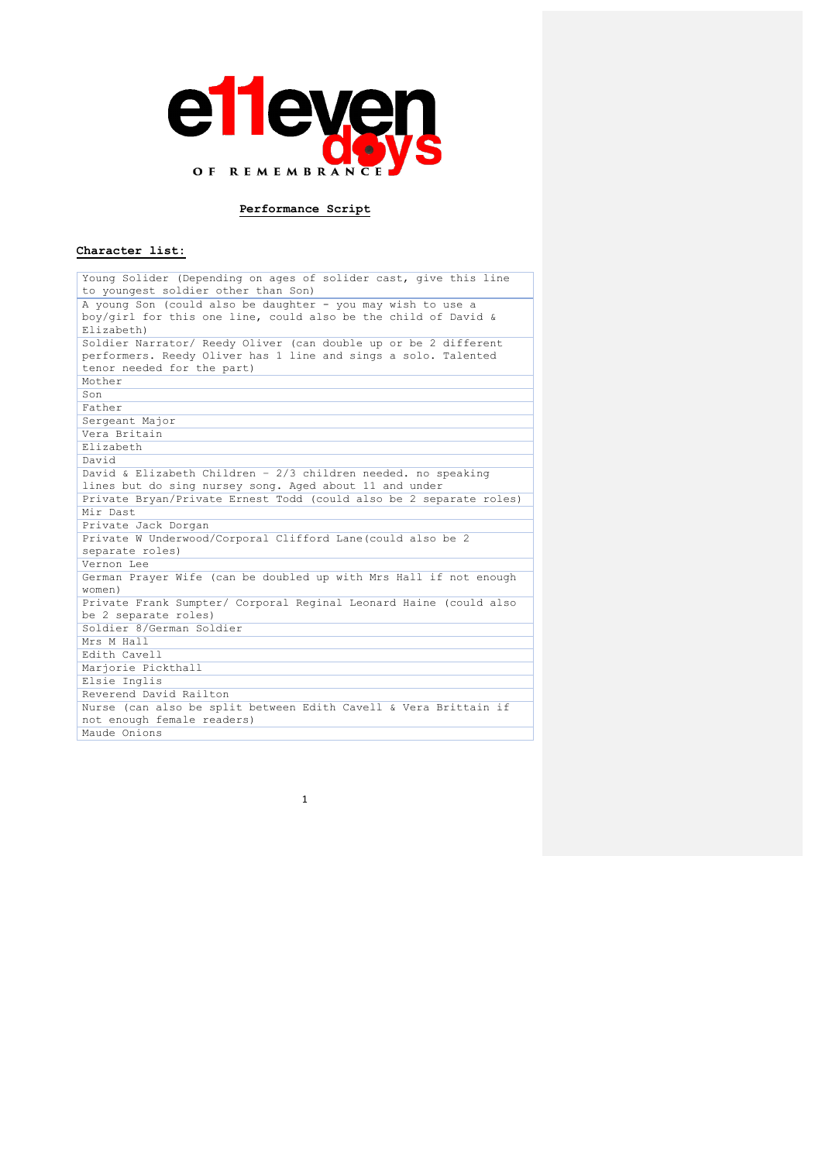

# **Performance Script**

# **Character list:**

| Young Solider (Depending on ages of solider cast, give this line   |
|--------------------------------------------------------------------|
| to youngest soldier other than Son)                                |
| A young Son (could also be daughter - you may wish to use a        |
| boy/girl for this one line, could also be the child of David &     |
| Elizabeth)                                                         |
| Soldier Narrator/ Reedy Oliver (can double up or be 2 different    |
| performers. Reedy Oliver has 1 line and sings a solo. Talented     |
| tenor needed for the part)                                         |
| Mother                                                             |
| Son                                                                |
| Father                                                             |
| Sergeant Major                                                     |
| Vera Britain                                                       |
| Elizabeth                                                          |
| David                                                              |
| David & Elizabeth Children - 2/3 children needed. no speaking      |
| lines but do sing nursey song. Aged about 11 and under             |
| Private Bryan/Private Ernest Todd (could also be 2 separate roles) |
| Mir Dast                                                           |
| Private Jack Dorgan                                                |
| Private W Underwood/Corporal Clifford Lane(could also be 2         |
| separate roles)                                                    |
| Vernon Lee                                                         |
| German Prayer Wife (can be doubled up with Mrs Hall if not enough  |
| women)                                                             |
| Private Frank Sumpter/ Corporal Reginal Leonard Haine (could also  |
| be 2 separate roles)                                               |
| Soldier 8/German Soldier                                           |
| Mrs M Hall                                                         |
| Edith Cavell                                                       |
| Marjorie Pickthall                                                 |
| Elsie Inglis                                                       |
| Reverend David Railton                                             |
| Nurse (can also be split between Edith Cavell & Vera Brittain if   |
| not enough female readers)                                         |
| Maude Onions                                                       |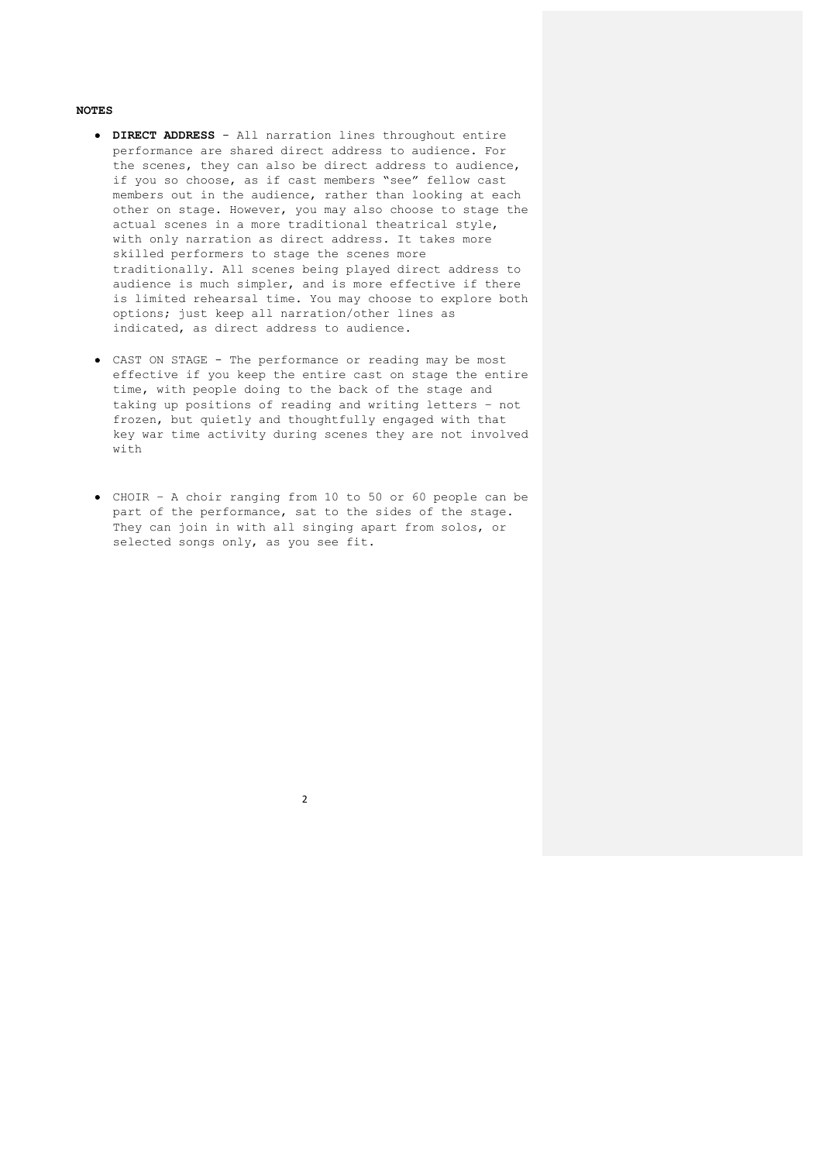#### **NOTES**

- **DIRECT ADDRESS** All narration lines throughout entire performance are shared direct address to audience. For the scenes, they can also be direct address to audience, if you so choose, as if cast members "see" fellow cast members out in the audience, rather than looking at each other on stage. However, you may also choose to stage the actual scenes in a more traditional theatrical style, with only narration as direct address. It takes more skilled performers to stage the scenes more traditionally. All scenes being played direct address to audience is much simpler, and is more effective if there is limited rehearsal time. You may choose to explore both options; just keep all narration/other lines as indicated, as direct address to audience.
- CAST ON STAGE The performance or reading may be most effective if you keep the entire cast on stage the entire time, with people doing to the back of the stage and taking up positions of reading and writing letters – not frozen, but quietly and thoughtfully engaged with that key war time activity during scenes they are not involved with
- CHOIR A choir ranging from 10 to 50 or 60 people can be part of the performance, sat to the sides of the stage. They can join in with all singing apart from solos, or selected songs only, as you see fit.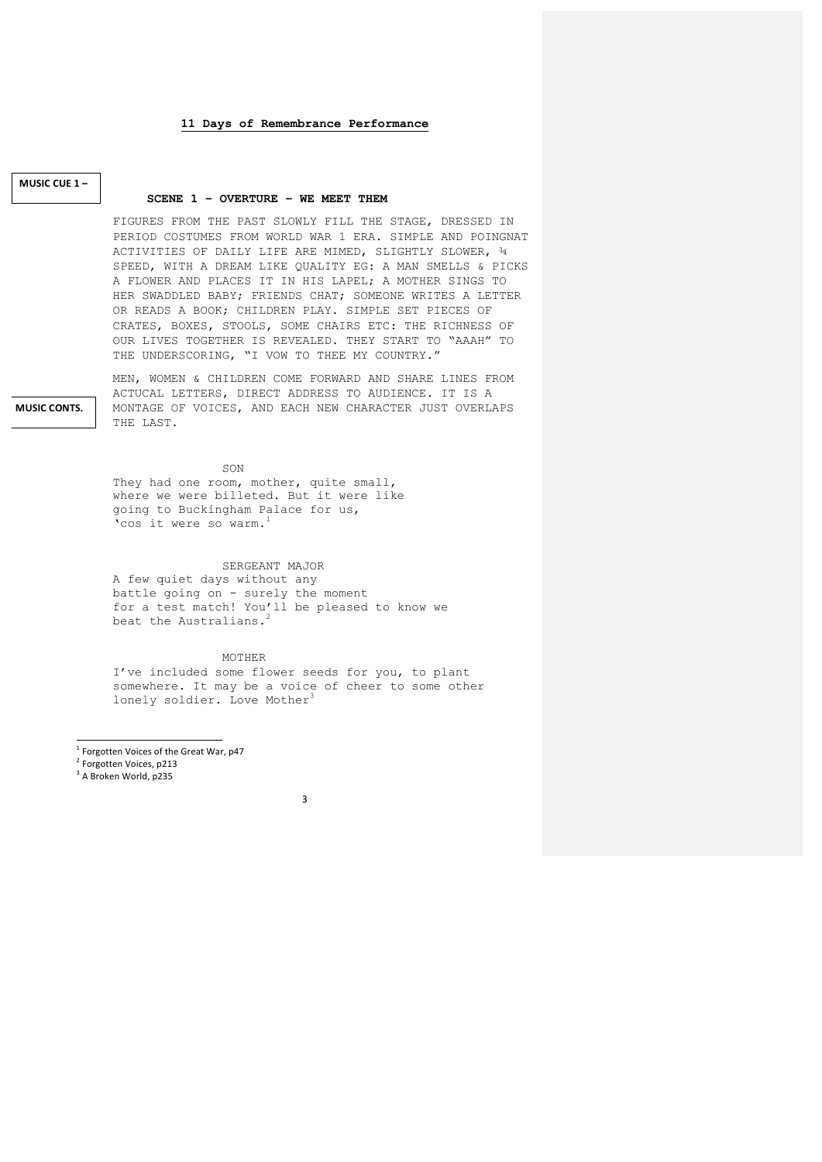# **MUSIC CUE 1 –**

**MUSIC CONTS.**

## **SCENE 1 – OVERTURE – WE MEET THEM**

FIGURES FROM THE PAST SLOWLY FILL THE STAGE, DRESSED IN PERIOD COSTUMES FROM WORLD WAR 1 ERA. SIMPLE AND POINGNAT ACTIVITIES OF DAILY LIFE ARE MIMED, SLIGHTLY SLOWER, ¾ SPEED, WITH A DREAM LIKE QUALITY EG: A MAN SMELLS & PICKS A FLOWER AND PLACES IT IN HIS LAPEL; A MOTHER SINGS TO HER SWADDLED BABY; FRIENDS CHAT; SOMEONE WRITES A LETTER OR READS A BOOK; CHILDREN PLAY. SIMPLE SET PIECES OF CRATES, BOXES, STOOLS, SOME CHAIRS ETC: THE RICHNESS OF OUR LIVES TOGETHER IS REVEALED. THEY START TO "AAAH" TO THE UNDERSCORING, "I VOW TO THEE MY COUNTRY."

MEN, WOMEN & CHILDREN COME FORWARD AND SHARE LINES FROM ACTUCAL LETTERS, DIRECT ADDRESS TO AUDIENCE. IT IS A MONTAGE OF VOICES, AND EACH NEW CHARACTER JUST OVERLAPS THE LAST.

SON

They had one room, mother, quite small, where we were billeted. But it were like going to Buckingham Palace for us, 'cos it were so warm.1

# SERGEANT MAJOR

A few quiet days without any battle going on - surely the moment for a test match! You'll be pleased to know we beat the Australians.

MOTHER

I've included some flower seeds for you, to plant somewhere. It may be a voice of cheer to some other lonely soldier. Love Mother<sup>3</sup>

- <u> Andreas Andreas Andreas Andreas Andreas Andreas Andreas Andreas Andreas Andreas Andreas Andreas Andreas Andreas</u>  $1$  Forgotten Voices of the Great War, p47
- <sup>2</sup> Forgotten Voices, p213
- $3$  A Broken World, p235

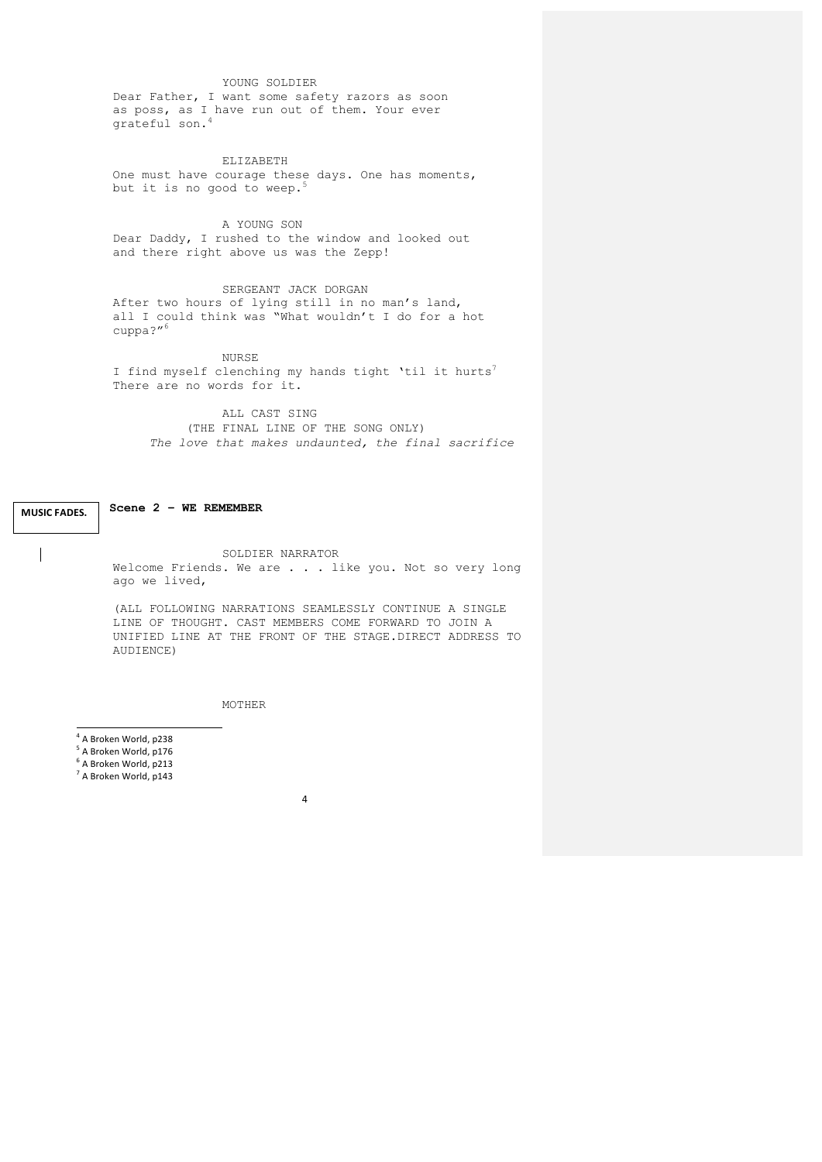# YOUNG SOLDIER

Dear Father, I want some safety razors as soon as poss, as I have run out of them. Your ever grateful son.<sup>4</sup>

ELIZABETH One must have courage these days. One has moments, but it is no good to weep.<sup>5</sup>

A YOUNG SON Dear Daddy, I rushed to the window and looked out and there right above us was the Zepp!

SERGEANT JACK DORGAN After two hours of lying still in no man's land, all I could think was "What wouldn't I do for a hot cuppa?"6

NURSE

I find myself clenching my hands tight 'til it hurts<sup>7</sup> There are no words for it.

ALL CAST SING (THE FINAL LINE OF THE SONG ONLY) *The love that makes undaunted, the final sacrifice*

**Scene 2 – WE REMEMBER MUSIC FADES.**

 $\overline{\phantom{a}}$ 

SOLDIER NARRATOR Welcome Friends. We are . . . like you. Not so very long ago we lived,

(ALL FOLLOWING NARRATIONS SEAMLESSLY CONTINUE A SINGLE LINE OF THOUGHT. CAST MEMBERS COME FORWARD TO JOIN A UNIFIED LINE AT THE FRONT OF THE STAGE.DIRECT ADDRESS TO AUDIENCE)

MOTHER

- <sup>4</sup> A Broken World, p238
- <sup>5</sup> A Broken World, p176
- $6$  A Broken World, p213
- $<sup>7</sup>$  A Broken World, p143</sup>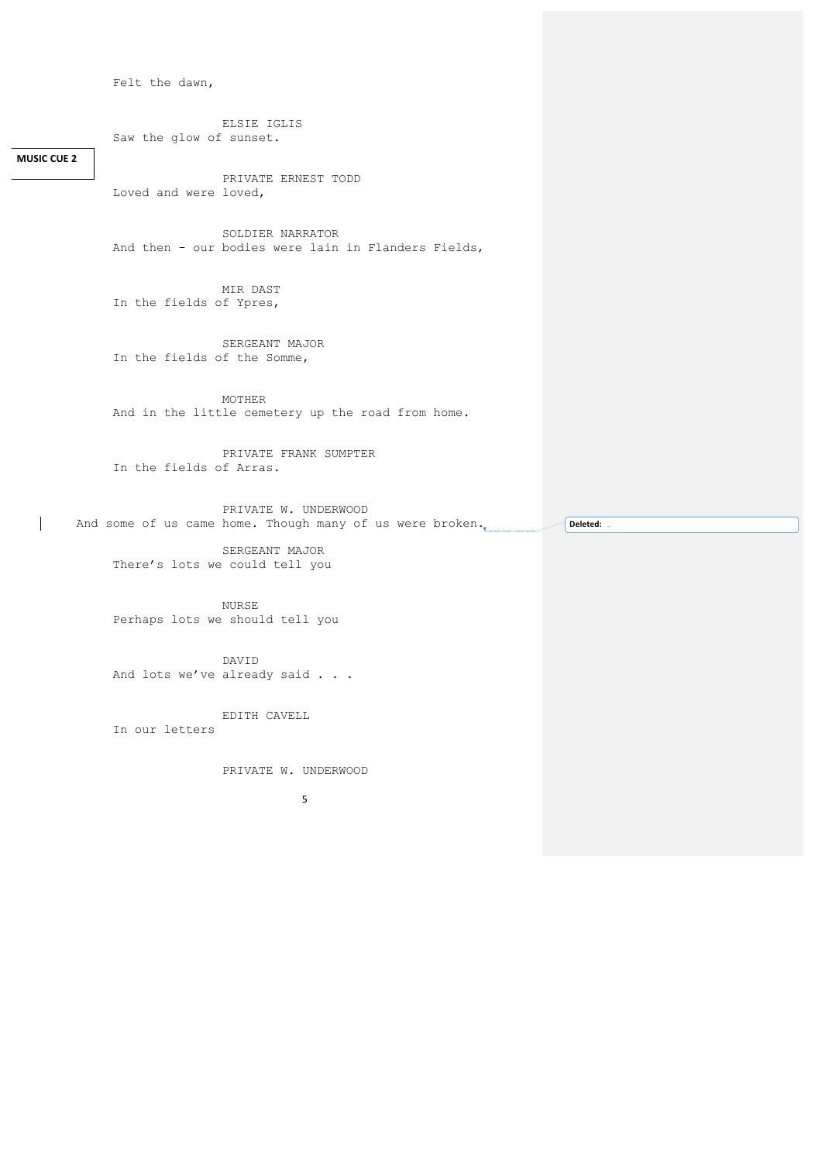Felt the dawn,

ELSIE IGLIS Saw the glow of sunset.

**MUSIC CUE 2** 

 $\mathbf{I}$ 

PRIVATE ERNEST TODD Loved and were loved,

SOLDIER NARRATOR And then - our bodies were lain in Flanders Fields,

MIR DAST In the fields of Ypres,

SERGEANT MAJOR In the fields of the Somme,

MOTHER And in the little cemetery up the road from home.

PRIVATE FRANK SUMPTER In the fields of Arras.

PRIVATE W. UNDERWOOD And some of us came home. Though many of us were broken. **Deleted:** 

SERGEANT MAJOR There's lots we could tell you

NURSE Perhaps lots we should tell you

DAVID And lots we've already said . . .

EDITH CAVELL In our letters

PRIVATE W. UNDERWOOD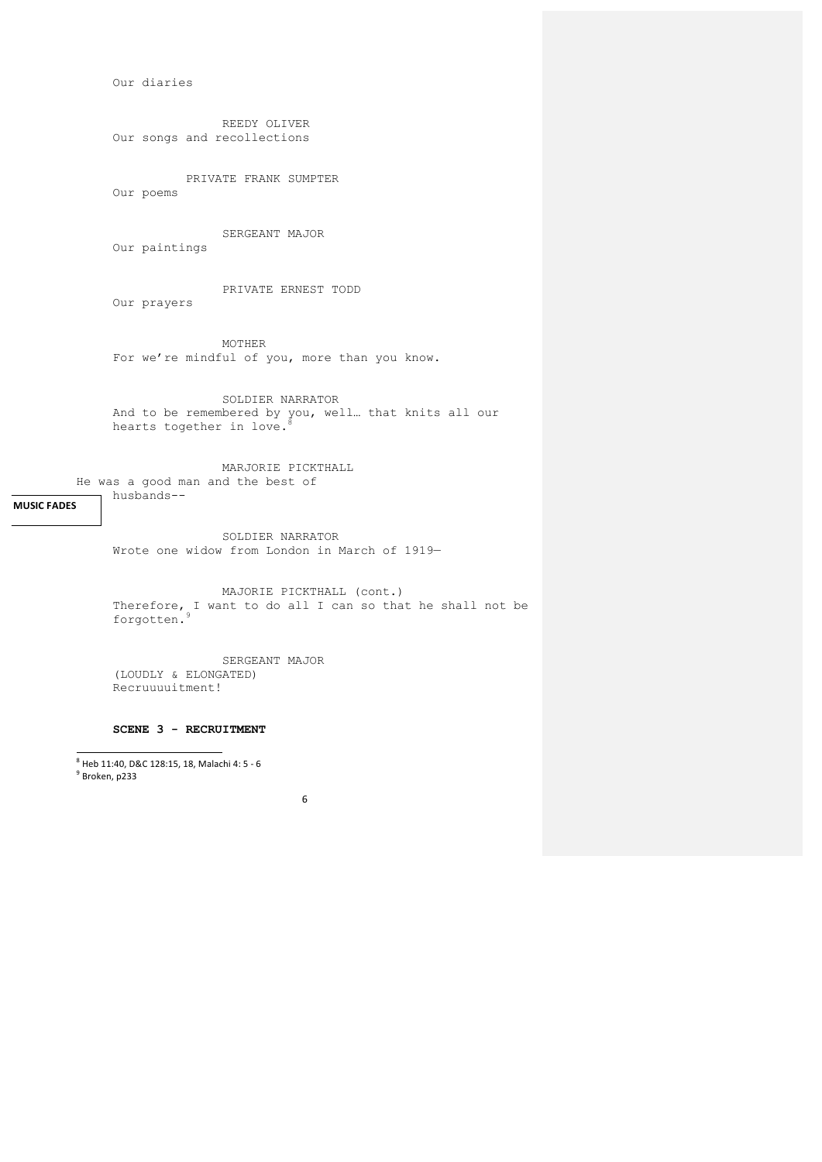Our diaries

REEDY OLIVER Our songs and recollections

PRIVATE FRANK SUMPTER Our poems

SERGEANT MAJOR

Our paintings

husbands--

PRIVATE ERNEST TODD Our prayers

MOTHER For we're mindful of you, more than you know.

SOLDIER NARRATOR And to be remembered by you, well… that knits all our hearts together in love.<sup>8</sup>

MARJORIE PICKTHALL He was a good man and the best of

**MUSIC FADES**

SOLDIER NARRATOR Wrote one widow from London in March of 1919—

MAJORIE PICKTHALL (cont.) Therefore, I want to do all I can so that he shall not be forgotten.9

SERGEANT MAJOR (LOUDLY & ELONGATED) Recruuuuitment!

**SCENE 3 - RECRUITMENT**

—<br><sup>8</sup> Heb 11:40, D&C 128:15, 18, Malachi 4: 5 - 6<br><sup>9</sup> Broken, p233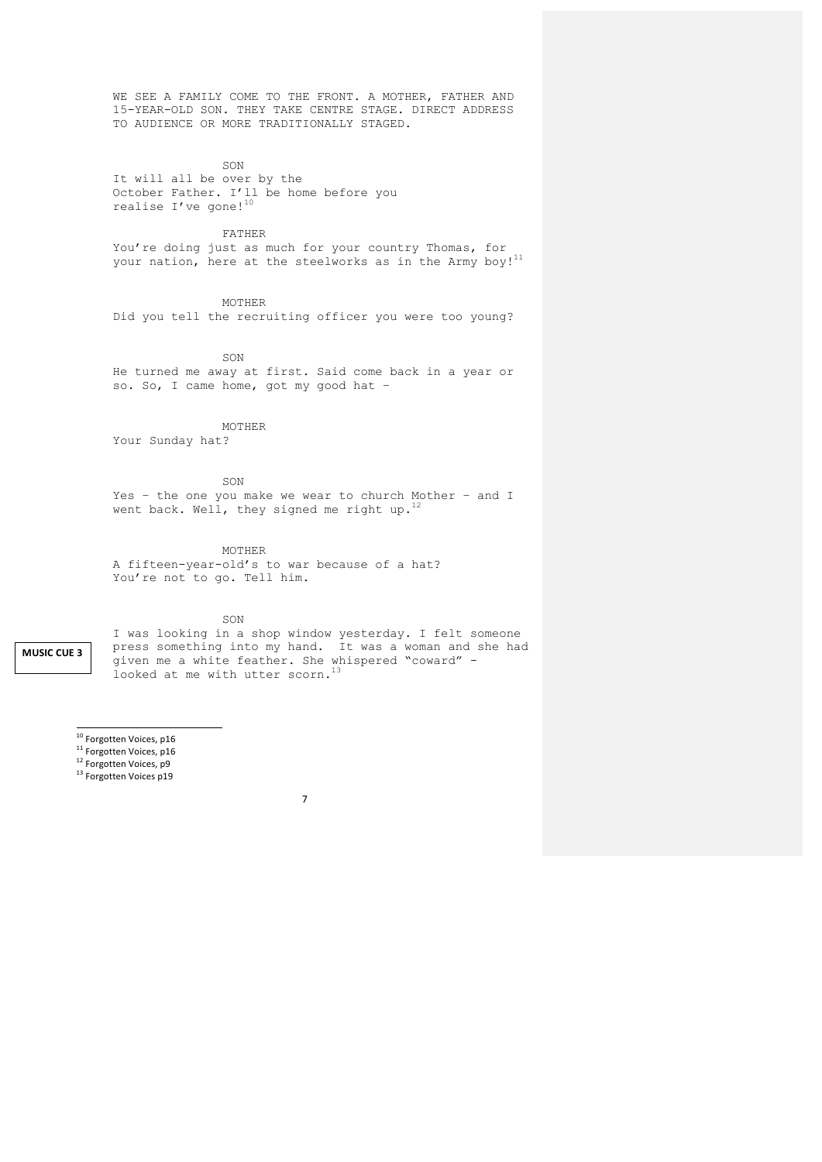WE SEE A FAMILY COME TO THE FRONT. A MOTHER, FATHER AND 15-YEAR-OLD SON. THEY TAKE CENTRE STAGE. DIRECT ADDRESS TO AUDIENCE OR MORE TRADITIONALLY STAGED.

SON

It will all be over by the October Father. I'll be home before you realise I've gone! $10$ 

FATHER

You're doing just as much for your country Thomas, for your nation, here at the steelworks as in the Army boy!<sup>11</sup>

MOTHER

Did you tell the recruiting officer you were too young?

SON

He turned me away at first. Said come back in a year or so. So, I came home, got my good hat –

MOTHER

Your Sunday hat?

SON

Yes – the one you make we wear to church Mother – and I went back. Well, they signed me right up.<sup>12</sup>

MOTHER

A fifteen-year-old's to war because of a hat? You're not to go. Tell him.

SON

**MUSIC CUE 3**

I was looking in a shop window yesterday. I felt someone press something into my hand. It was a woman and she had given me a white feather. She whispered "coward" looked at me with utter scorn.<sup>13</sup>

- <sup>10</sup> Forgotten Voices, p16<br>
<sup>11</sup> Forgotten Voices, p16<br>
<sup>12</sup> Forgotten Voices, p9<br>
<sup>13</sup> Forgotten Voices p19
- 
- 
-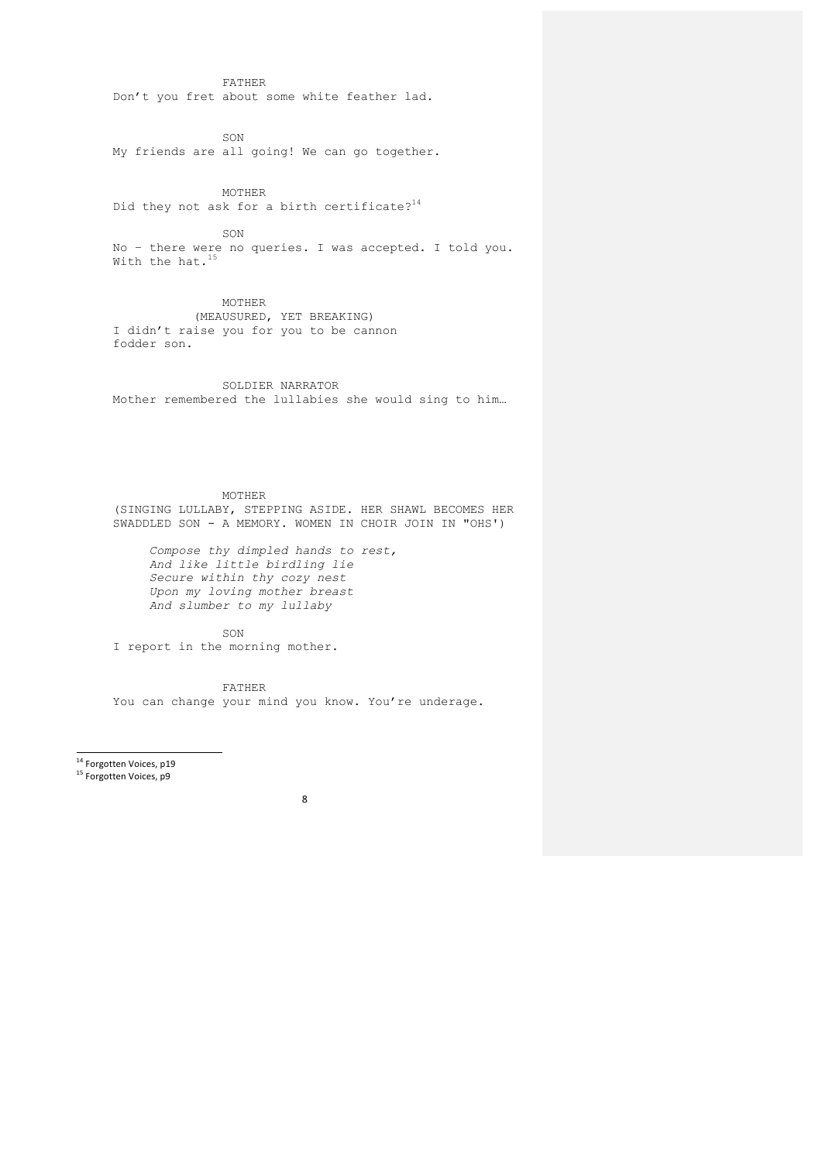FATHER Don't you fret about some white feather lad.

SON

My friends are all going! We can go together.

MOTHER Did they not ask for a birth certificate? $14$ 

SON No – there were no queries. I was accepted. I told you. With the hat.<sup>15</sup>

MOTHER (MEAUSURED, YET BREAKING) I didn't raise you for you to be cannon fodder son.

SOLDIER NARRATOR Mother remembered the lullabies she would sing to him…

MOTHER (SINGING LULLABY, STEPPING ASIDE. HER SHAWL BECOMES HER SWADDLED SON - A MEMORY. WOMEN IN CHOIR JOIN IN "OHS')

*Compose thy dimpled hands to rest, And like little birdling lie Secure within thy cozy nest Upon my loving mother breast And slumber to my lullaby*

SON

I report in the morning mother.

FATHER You can change your mind you know. You're underage.

<sup>14</sup> Forgotten Voices, p19

15 Forgotten Voices, p9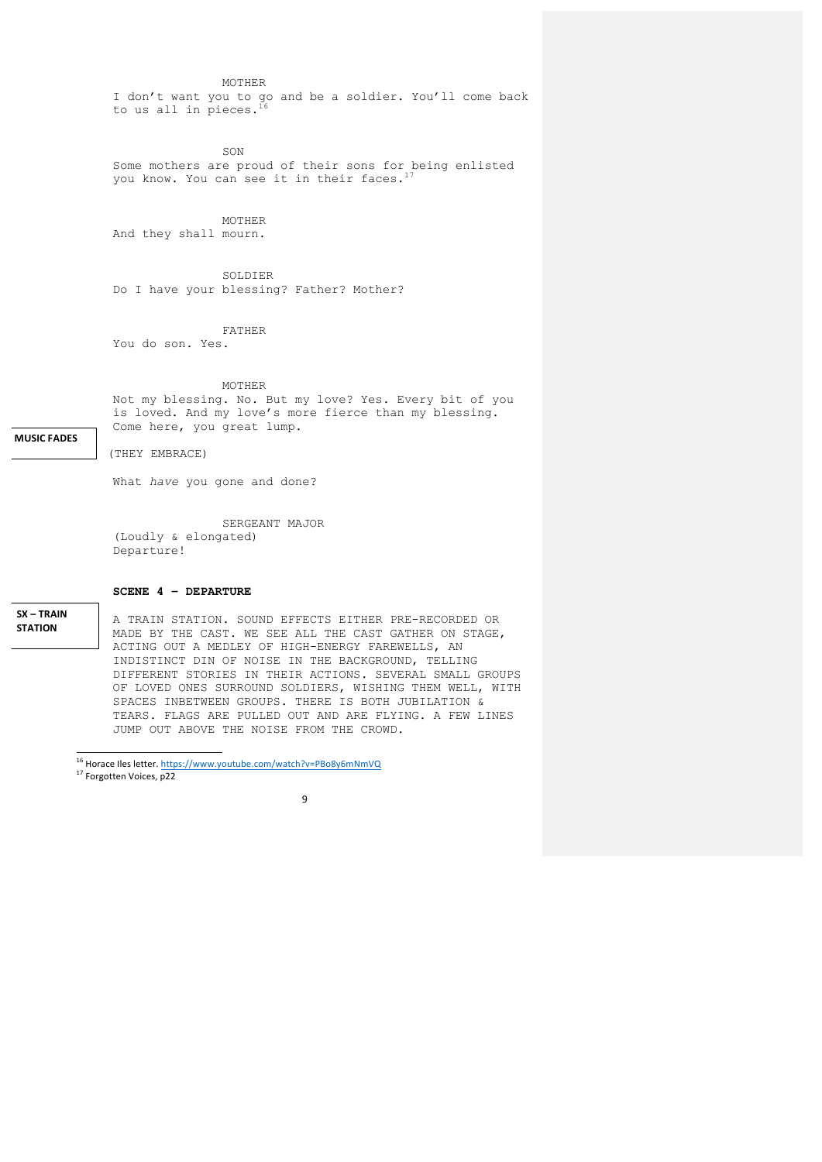MOTHER

I don't want you to go and be a soldier. You'll come back to us all in pieces.

SON Some mothers are proud of their sons for being enlisted you know. You can see it in their faces.<sup>17</sup>

MOTHER

And they shall mourn.

SOLDIER Do I have your blessing? Father? Mother?

FATHER

You do son. Yes.

MOTHER

Not my blessing. No. But my love? Yes. Every bit of you is loved. And my love's more fierce than my blessing. Come here, you great lump.

**MUSIC FADES**

(THEY EMBRACE)

What *have* you gone and done?

SERGEANT MAJOR (Loudly & elongated) Departure!

**SCENE 4 – DEPARTURE**

**SX – TRAIN STATION** 

A TRAIN STATION. SOUND EFFECTS EITHER PRE-RECORDED OR MADE BY THE CAST. WE SEE ALL THE CAST GATHER ON STAGE, ACTING OUT A MEDLEY OF HIGH-ENERGY FAREWELLS, AN INDISTINCT DIN OF NOISE IN THE BACKGROUND, TELLING DIFFERENT STORIES IN THEIR ACTIONS. SEVERAL SMALL GROUPS OF LOVED ONES SURROUND SOLDIERS, WISHING THEM WELL, WITH SPACES INBETWEEN GROUPS. THERE IS BOTH JUBILATION & TEARS. FLAGS ARE PULLED OUT AND ARE FLYING. A FEW LINES JUMP OUT ABOVE THE NOISE FROM THE CROWD.

 <sup>16</sup> Horace Iles letter. https://www.youtube.com/watch?v=PBo8y6mNmVQ <sup>17</sup> Forgotten Voices, p22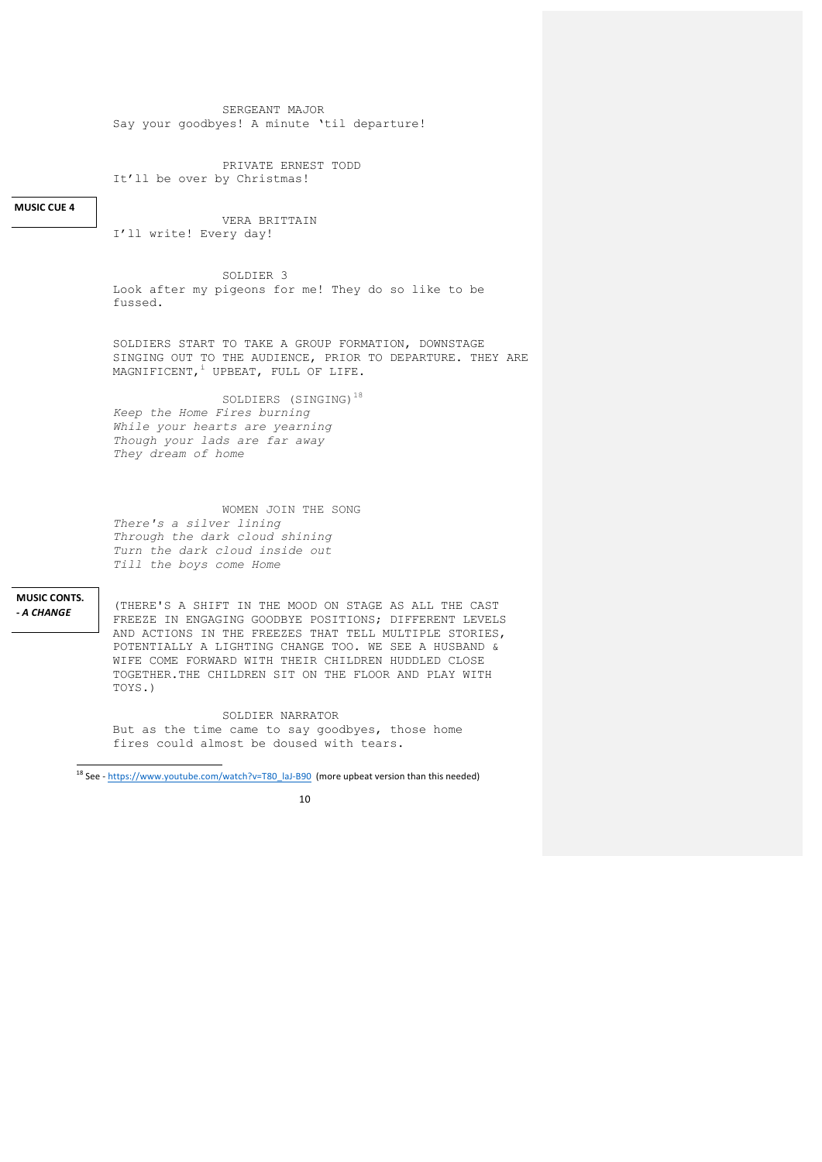SERGEANT MAJOR Say your goodbyes! A minute 'til departure!

PRIVATE ERNEST TODD It'll be over by Christmas!

# **MUSIC CUE 4**

VERA BRITTAIN I'll write! Every day!

SOLDIER 3 Look after my pigeons for me! They do so like to be fussed.

SOLDIERS START TO TAKE A GROUP FORMATION, DOWNSTAGE SINGING OUT TO THE AUDIENCE, PRIOR TO DEPARTURE. THEY ARE MAGNIFICENT, <sup>i</sup> UPBEAT, FULL OF LIFE.

SOLDIERS (SINGING)<sup>18</sup>

*Keep the Home Fires burning While your hearts are yearning Though your lads are far away They dream of home*

WOMEN JOIN THE SONG *There's a silver lining Through the dark cloud shining Turn the dark cloud inside out Till the boys come Home*

**MUSIC CONTS. -** *A CHANGE*

(THERE'S A SHIFT IN THE MOOD ON STAGE AS ALL THE CAST FREEZE IN ENGAGING GOODBYE POSITIONS; DIFFERENT LEVELS AND ACTIONS IN THE FREEZES THAT TELL MULTIPLE STORIES, POTENTIALLY A LIGHTING CHANGE TOO. WE SEE A HUSBAND & WIFE COME FORWARD WITH THEIR CHILDREN HUDDLED CLOSE TOGETHER.THE CHILDREN SIT ON THE FLOOR AND PLAY WITH TOYS.)

SOLDIER NARRATOR But as the time came to say goodbyes, those home fires could almost be doused with tears.

 <sup>18</sup> See - https://www.youtube.com/watch?v=T80\_laJ-B90 (more upbeat version than this needed)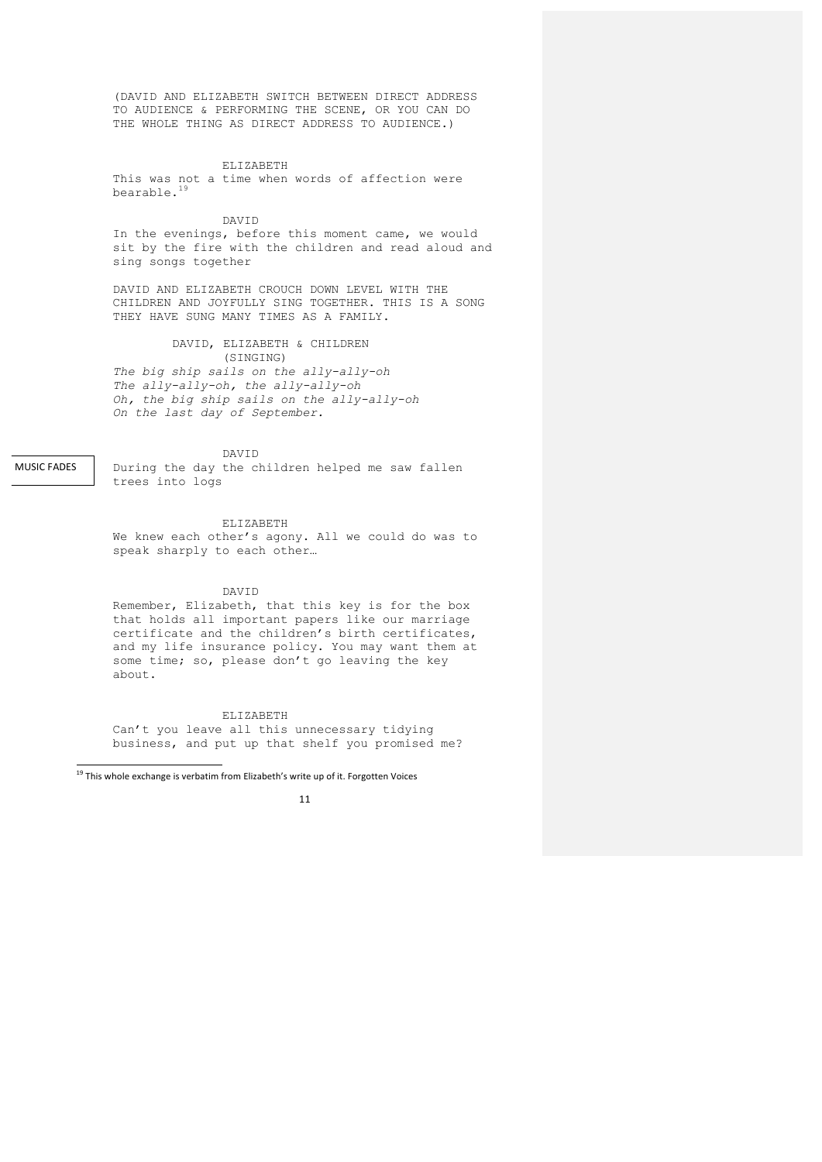(DAVID AND ELIZABETH SWITCH BETWEEN DIRECT ADDRESS TO AUDIENCE & PERFORMING THE SCENE, OR YOU CAN DO THE WHOLE THING AS DIRECT ADDRESS TO AUDIENCE.)

ELIZABETH

This was not a time when words of affection were bearable.19

#### DAVID

In the evenings, before this moment came, we would sit by the fire with the children and read aloud and sing songs together

DAVID AND ELIZABETH CROUCH DOWN LEVEL WITH THE CHILDREN AND JOYFULLY SING TOGETHER. THIS IS A SONG THEY HAVE SUNG MANY TIMES AS A FAMILY.

#### DAVID, ELIZABETH & CHILDREN (SINGING)

*The big ship sails on the ally-ally-oh The ally-ally-oh, the ally-ally-oh Oh, the big ship sails on the ally-ally-oh On the last day of September.*

DAVID

MUSIC FADES

During the day the children helped me saw fallen trees into logs

ELIZABETH

We knew each other's agony. All we could do was to speak sharply to each other…

#### DAVID

Remember, Elizabeth, that this key is for the box that holds all important papers like our marriage certificate and the children's birth certificates, and my life insurance policy. You may want them at some time; so, please don't go leaving the key about.

ELIZABETH Can't you leave all this unnecessary tidying business, and put up that shelf you promised me?

 <sup>19</sup> This whole exchange is verbatim from Elizabeth's write up of it. Forgotten Voices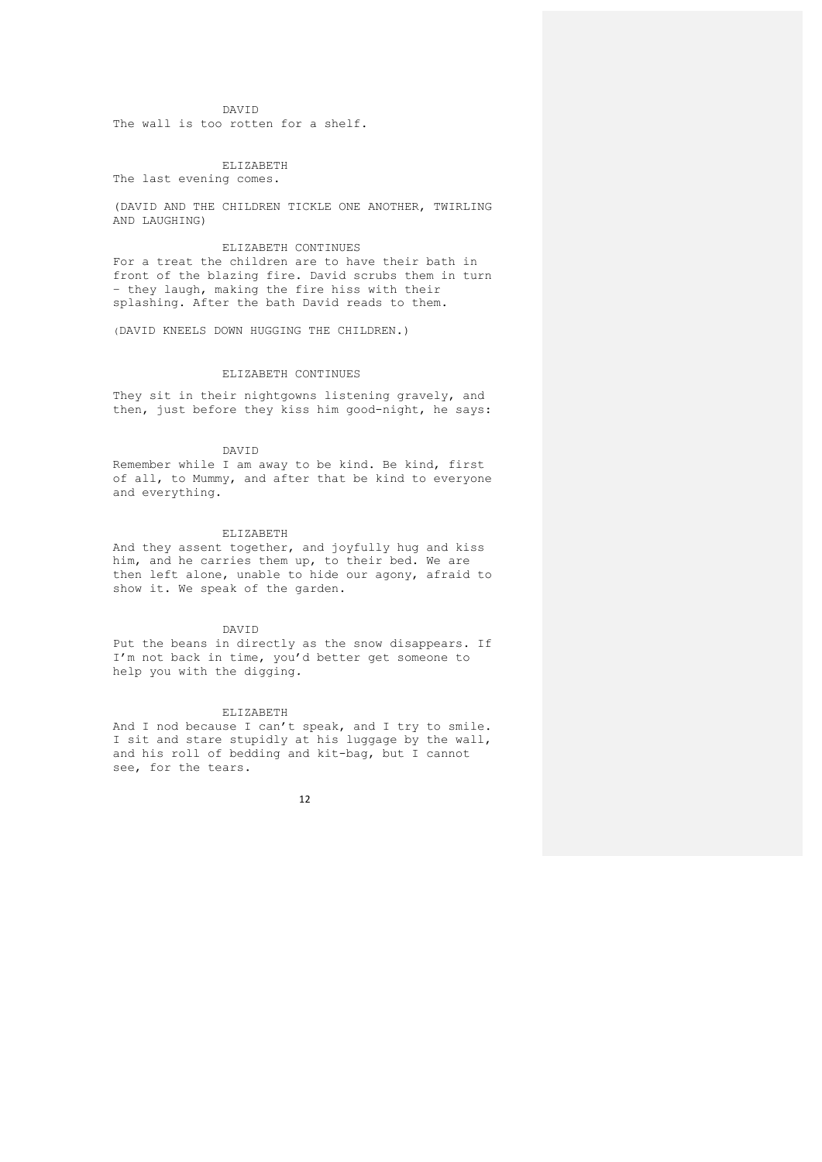DAVID

The wall is too rotten for a shelf.

ELIZABETH

The last evening comes.

(DAVID AND THE CHILDREN TICKLE ONE ANOTHER, TWIRLING AND LAUGHING)

ELIZABETH CONTINUES For a treat the children are to have their bath in front of the blazing fire. David scrubs them in turn – they laugh, making the fire hiss with their splashing. After the bath David reads to them.

(DAVID KNEELS DOWN HUGGING THE CHILDREN.)

# ELIZABETH CONTINUES

They sit in their nightgowns listening gravely, and then, just before they kiss him good-night, he says:

DAVID

Remember while I am away to be kind. Be kind, first of all, to Mummy, and after that be kind to everyone and everything.

#### ELIZABETH

And they assent together, and joyfully hug and kiss him, and he carries them up, to their bed. We are then left alone, unable to hide our agony, afraid to show it. We speak of the garden.

DAVID

Put the beans in directly as the snow disappears. If I'm not back in time, you'd better get someone to help you with the digging*.*

#### ELIZABETH

And I nod because I can't speak, and I try to smile. I sit and stare stupidly at his luggage by the wall, and his roll of bedding and kit-bag, but I cannot see, for the tears.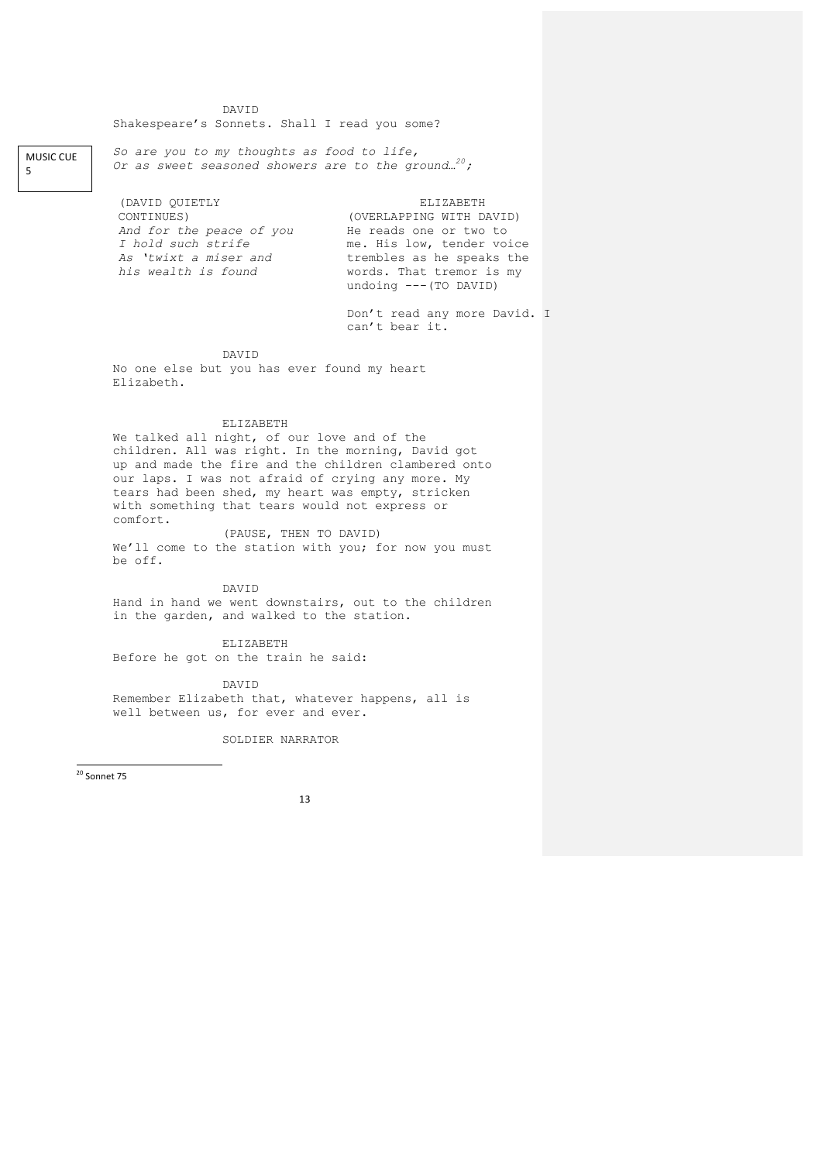DAVID Shakespeare's Sonnets. Shall I read you some?

*So are you to my thoughts as food to life, Or as sweet seasoned showers are to the ground…20;*

(DAVID QUIETLY CONTINUES) *And for the peace of you I hold such strife As 'twixt a miser and his wealth is found*

**MUSIC CUE** 5

> ELIZABETH (OVERLAPPING WITH DAVID) He reads one or two to me. His low, tender voice trembles as he speaks the words. That tremor is my undoing ---(TO DAVID)

Don't read any more David. I can't bear it.

DAVID

No one else but you has ever found my heart Elizabeth.

ELIZABETH

We talked all night, of our love and of the children. All was right. In the morning, David got up and made the fire and the children clambered onto our laps. I was not afraid of crying any more. My tears had been shed, my heart was empty, stricken with something that tears would not express or comfort.

(PAUSE, THEN TO DAVID) We'll come to the station with you; for now you must be off.

DAVID

Hand in hand we went downstairs, out to the children in the garden, and walked to the station.

ELIZABETH

Before he got on the train he said:

DAVID

Remember Elizabeth that, whatever happens, all is well between us, for ever and ever.

SOLDIER NARRATOR

 $20$  Sonnet 75

<u> Andrew Maria (1989)</u>

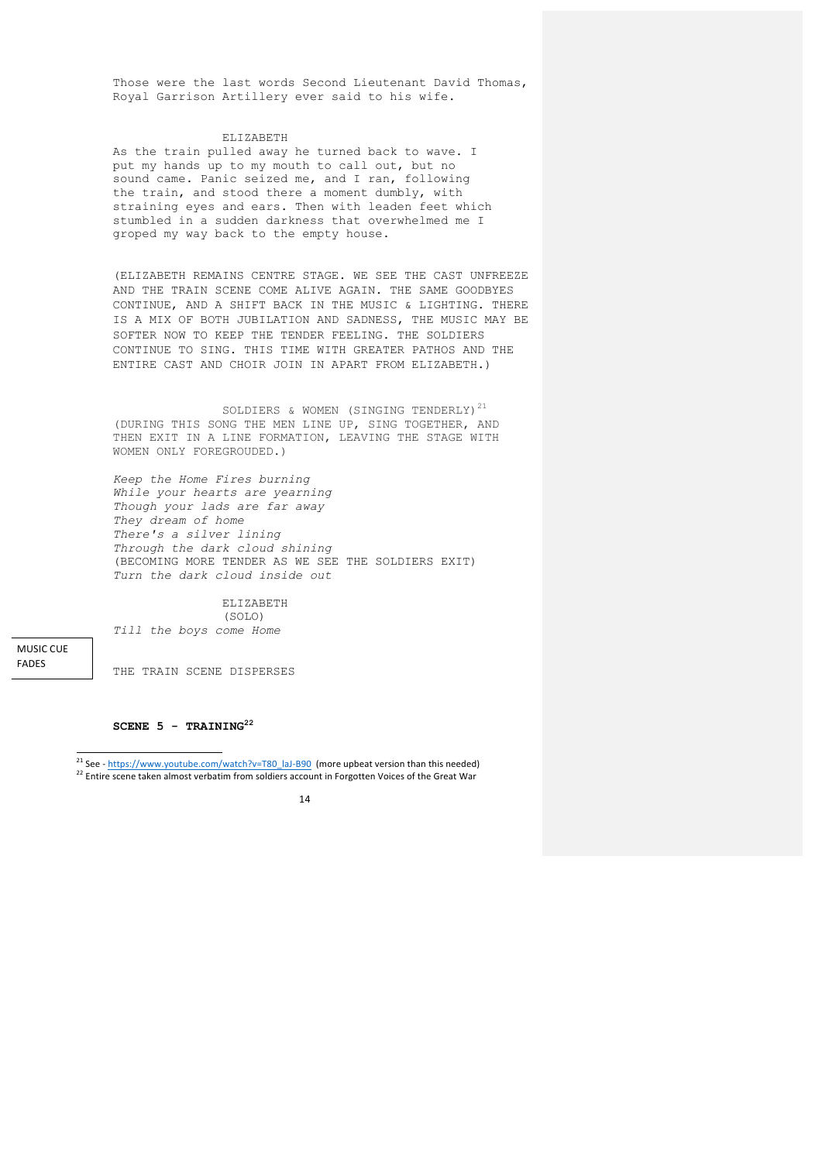Those were the last words Second Lieutenant David Thomas, Royal Garrison Artillery ever said to his wife.

#### ELIZABETH

As the train pulled away he turned back to wave. I put my hands up to my mouth to call out, but no sound came. Panic seized me, and I ran, following the train, and stood there a moment dumbly, with straining eyes and ears. Then with leaden feet which stumbled in a sudden darkness that overwhelmed me I groped my way back to the empty house.

(ELIZABETH REMAINS CENTRE STAGE. WE SEE THE CAST UNFREEZE AND THE TRAIN SCENE COME ALIVE AGAIN. THE SAME GOODBYES CONTINUE, AND A SHIFT BACK IN THE MUSIC & LIGHTING. THERE IS A MIX OF BOTH JUBILATION AND SADNESS, THE MUSIC MAY BE SOFTER NOW TO KEEP THE TENDER FEELING. THE SOLDIERS CONTINUE TO SING. THIS TIME WITH GREATER PATHOS AND THE ENTIRE CAST AND CHOIR JOIN IN APART FROM ELIZABETH.)

SOLDIERS & WOMEN (SINGING TENDERLY)<sup>21</sup> (DURING THIS SONG THE MEN LINE UP, SING TOGETHER, AND THEN EXIT IN A LINE FORMATION, LEAVING THE STAGE WITH WOMEN ONLY FOREGROUDED.)

*Keep the Home Fires burning While your hearts are yearning Though your lads are far away They dream of home There's a silver lining Through the dark cloud shining* (BECOMING MORE TENDER AS WE SEE THE SOLDIERS EXIT) *Turn the dark cloud inside out*

ELIZABETH (SOLO) *Till the boys come Home*

MUSIC CUF FADES

THE TRAIN SCENE DISPERSES

## **SCENE 5 - TRAINING22**

<sup>&</sup>lt;sup>22</sup> Entire scene taken almost verbatim from soldiers account in Forgotten Voices of the Great War



<sup>&</sup>lt;sup>21</sup> See - https://www.youtube.com/watch?v=T80\_laJ-B90 (more upbeat version than this needed)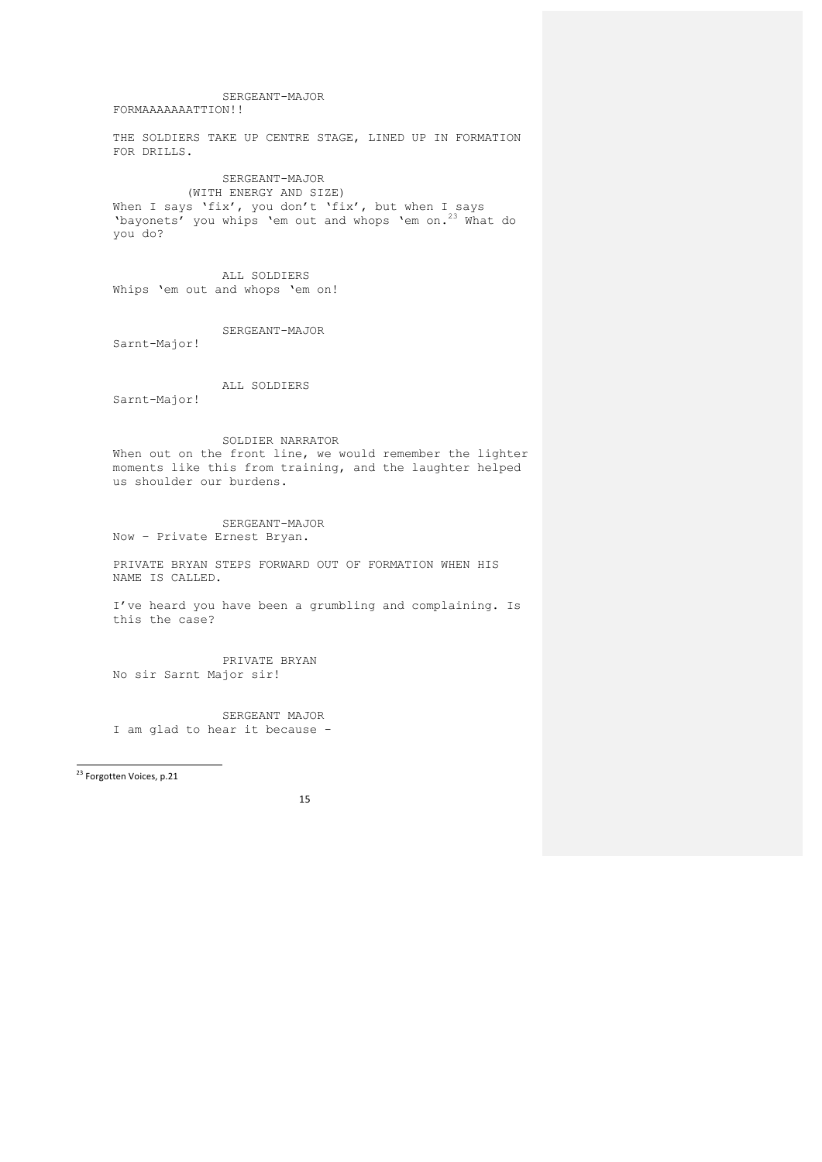15 SERGEANT-MAJOR FORMAAAAAAATTION!! THE SOLDIERS TAKE UP CENTRE STAGE, LINED UP IN FORMATION FOR DRILLS. SERGEANT-MAJOR (WITH ENERGY AND SIZE) When I says 'fix', you don't 'fix', but when I says 'bayonets' you whips 'em out and whops 'em on.23 What do you do? ALL SOLDIERS Whips 'em out and whops 'em on! SERGEANT-MAJOR Sarnt-Major! ALL SOLDIERS Sarnt-Major! SOLDIER NARRATOR When out on the front line, we would remember the lighter moments like this from training, and the laughter helped us shoulder our burdens. SERGEANT-MAJOR Now – Private Ernest Bryan. PRIVATE BRYAN STEPS FORWARD OUT OF FORMATION WHEN HIS NAME IS CALLED. I've heard you have been a grumbling and complaining. Is this the case? PRIVATE BRYAN No sir Sarnt Major sir! SERGEANT MAJOR I am glad to hear it because - <sup>23</sup> Forgotten Voices, p.21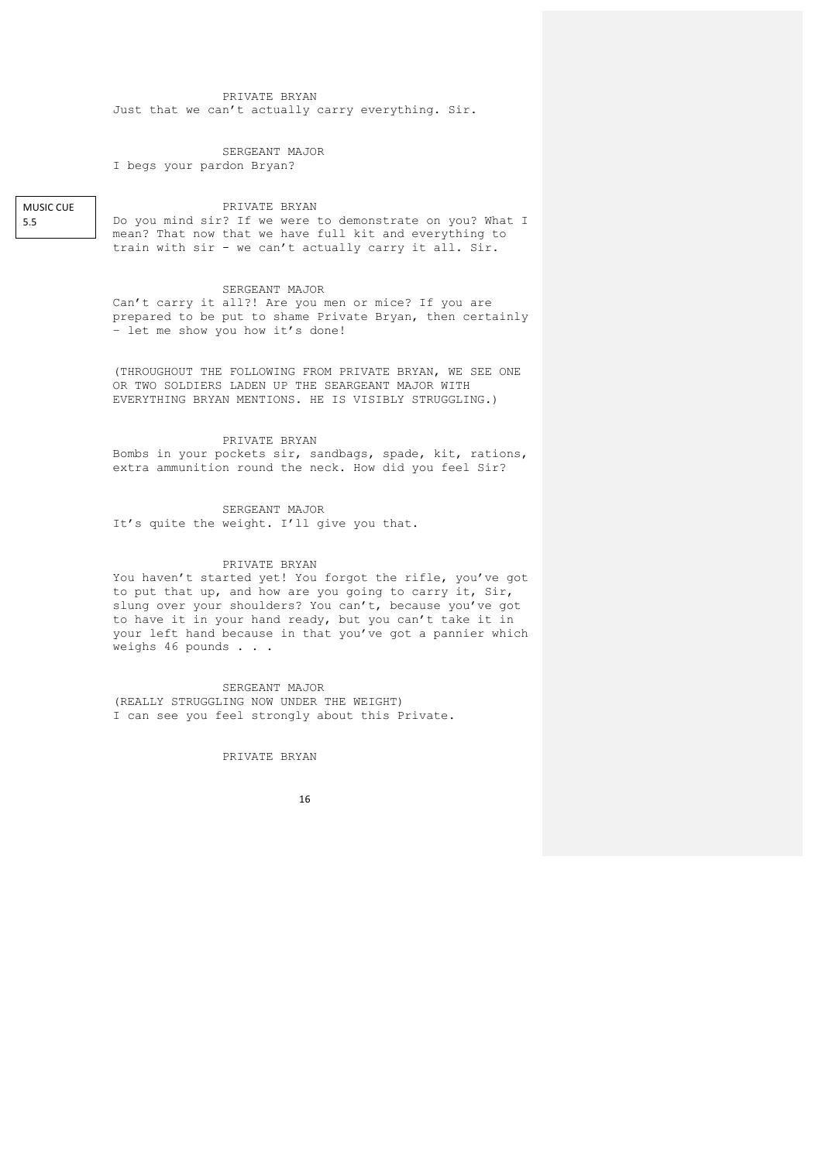## PRIVATE BRYAN Just that we can't actually carry everything. Sir.

SERGEANT MAJOR I begs your pardon Bryan?

**MUSIC CUE** 5.5

#### PRIVATE BRYAN

Do you mind sir? If we were to demonstrate on you? What I mean? That now that we have full kit and everything to train with sir - we can't actually carry it all. Sir.

## SERGEANT MAJOR

Can't carry it all?! Are you men or mice? If you are prepared to be put to shame Private Bryan, then certainly – let me show you how it's done!

(THROUGHOUT THE FOLLOWING FROM PRIVATE BRYAN, WE SEE ONE OR TWO SOLDIERS LADEN UP THE SEARGEANT MAJOR WITH EVERYTHING BRYAN MENTIONS. HE IS VISIBLY STRUGGLING.)

#### PRIVATE BRYAN

Bombs in your pockets sir, sandbags, spade, kit, rations, extra ammunition round the neck. How did you feel Sir?

#### SERGEANT MAJOR

It's quite the weight. I'll give you that.

## PRIVATE BRYAN

You haven't started yet! You forgot the rifle, you've got to put that up, and how are you going to carry it, Sir, slung over your shoulders? You can't, because you've got to have it in your hand ready, but you can't take it in your left hand because in that you've got a pannier which weighs 46 pounds . . .

SERGEANT MAJOR (REALLY STRUGGLING NOW UNDER THE WEIGHT) I can see you feel strongly about this Private.

## PRIVATE BRYAN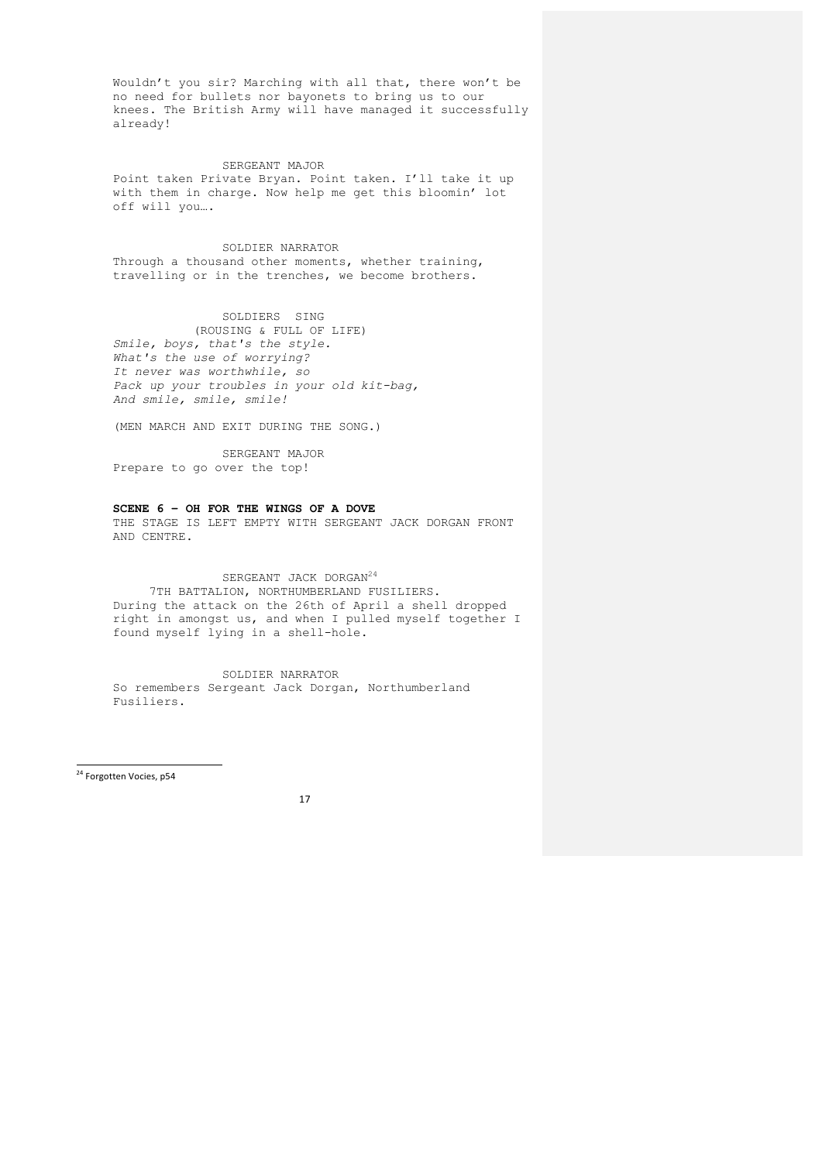Wouldn't you sir? Marching with all that, there won't be no need for bullets nor bayonets to bring us to our knees. The British Army will have managed it successfully already!

#### SERGEANT MAJOR

Point taken Private Bryan. Point taken. I'll take it up with them in charge. Now help me get this bloomin' lot off will you….

# SOLDIER NARRATOR Through a thousand other moments, whether training, travelling or in the trenches, we become brothers.

# SOLDIERS SING

 (ROUSING & FULL OF LIFE) *Smile, boys, that's the style. What's the use of worrying? It never was worthwhile, so Pack up your troubles in your old kit-bag, And smile, smile, smile!*

(MEN MARCH AND EXIT DURING THE SONG.)

SERGEANT MAJOR Prepare to go over the top!

# **SCENE 6 – OH FOR THE WINGS OF A DOVE**

THE STAGE IS LEFT EMPTY WITH SERGEANT JACK DORGAN FRONT AND CENTRE.

# SERGEANT JACK DORGAN<sup>24</sup>

7TH BATTALION, NORTHUMBERLAND FUSILIERS. During the attack on the 26th of April a shell dropped right in amongst us, and when I pulled myself together I found myself lying in a shell-hole.

#### SOLDIER NARRATOR

So remembers Sergeant Jack Dorgan, Northumberland Fusiliers.

 <sup>24</sup> Forgotten Vocies, p54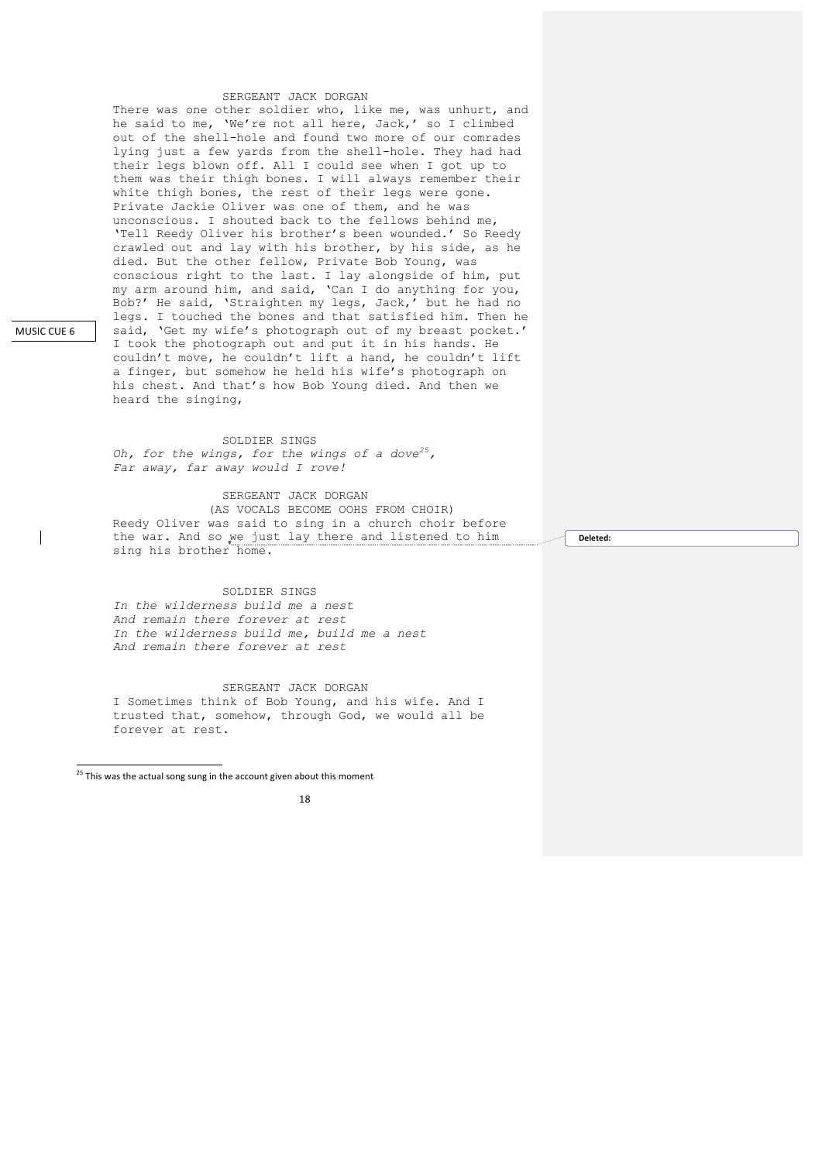## SERGEANT JACK DORGAN

There was one other soldier who, like me, was unhurt, and he said to me, 'We're not all here, Jack,' so I climbed out of the shell-hole and found two more of our comrades lying just a few yards from the shell-hole. They had had their legs blown off. All I could see when I got up to them was their thigh bones. I will always remember their white thigh bones, the rest of their legs were gone. Private Jackie Oliver was one of them, and he was unconscious. I shouted back to the fellows behind me, 'Tell Reedy Oliver his brother's been wounded.' So Reedy crawled out and lay with his brother, by his side, as he died. But the other fellow, Private Bob Young, was conscious right to the last. I lay alongside of him, put my arm around him, and said, 'Can I do anything for you, Bob?' He said, 'Straighten my legs, Jack,' but he had no legs. I touched the bones and that satisfied him. Then he said, 'Get my wife's photograph out of my breast pocket.' I took the photograph out and put it in his hands. He couldn't move, he couldn't lift a hand, he couldn't lift a finger, but somehow he held his wife's photograph on his chest. And that's how Bob Young died. And then we heard the singing,

SOLDIER SINGS *Oh, for the wings, for the wings of a dove25, Far away, far away would I rove!* 

SERGEANT JACK DORGAN (AS VOCALS BECOME OOHS FROM CHOIR) Reedy Oliver was said to sing in a church choir before the war. And so we just lay there and listened to him sing his brother home.

#### SOLDIER SINGS

*In the wilderness build me a nest And remain there forever at rest In the wilderness build me, build me a nest And remain there forever at rest*

SERGEANT JACK DORGAN I Sometimes think of Bob Young, and his wife. And I trusted that, somehow, through God, we would all be forever at rest.

 $\frac{1}{25}$  This was the actual song sung in the account given about this moment

## 18

Deleted:

MUSIC CUE 6

 $\overline{\phantom{a}}$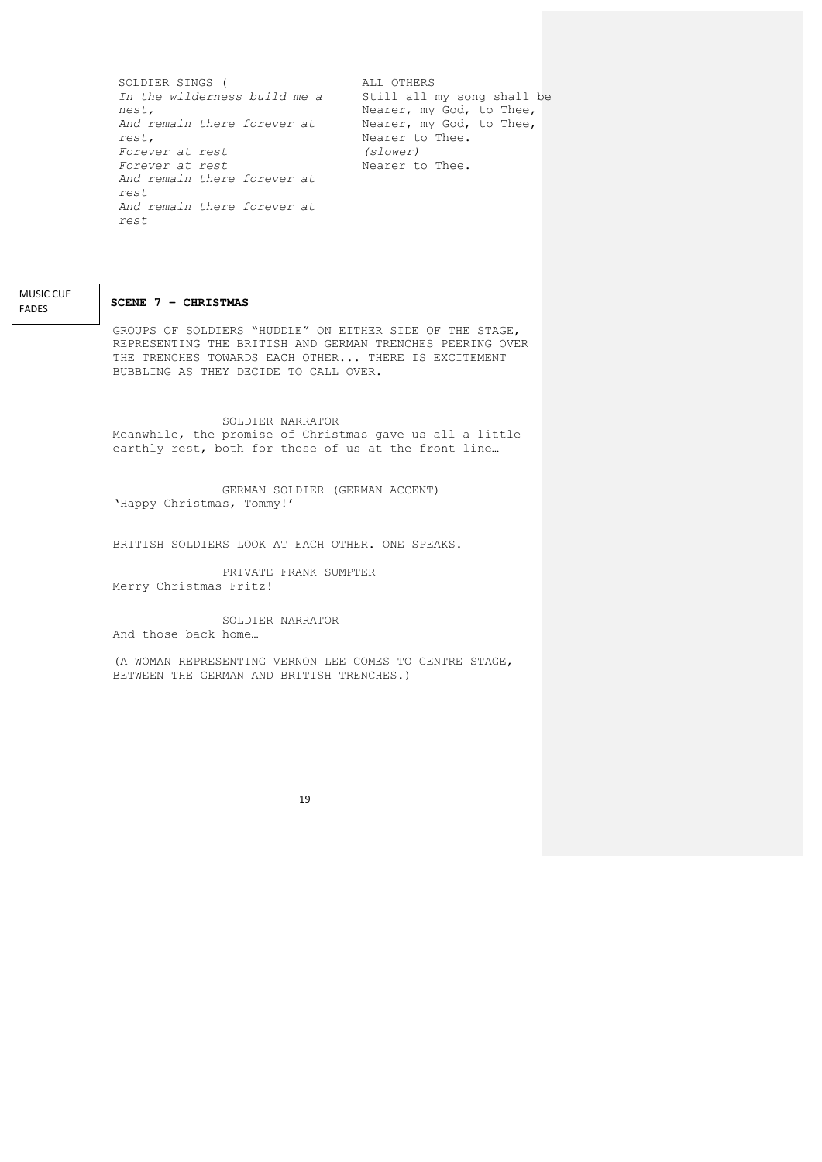SOLDIER SINGS ( *In the wilderness build me a nest, And remain there forever at rest, Forever at rest Forever at rest And remain there forever at rest And remain there forever at rest*

ALL OTHERS Still all my song shall be Nearer, my God, to Thee, Nearer, my God, to Thee, Nearer to Thee. *(slower)* Nearer to Thee.

**SCENE 7 – CHRISTMAS**

**MUSIC CUE** FADES

> GROUPS OF SOLDIERS "HUDDLE" ON EITHER SIDE OF THE STAGE, REPRESENTING THE BRITISH AND GERMAN TRENCHES PEERING OVER THE TRENCHES TOWARDS EACH OTHER... THERE IS EXCITEMENT BUBBLING AS THEY DECIDE TO CALL OVER.

SOLDIER NARRATOR Meanwhile, the promise of Christmas gave us all a little earthly rest, both for those of us at the front line…

GERMAN SOLDIER (GERMAN ACCENT) 'Happy Christmas, Tommy!'

BRITISH SOLDIERS LOOK AT EACH OTHER. ONE SPEAKS.

PRIVATE FRANK SUMPTER Merry Christmas Fritz!

SOLDIER NARRATOR And those back home…

(A WOMAN REPRESENTING VERNON LEE COMES TO CENTRE STAGE, BETWEEN THE GERMAN AND BRITISH TRENCHES.)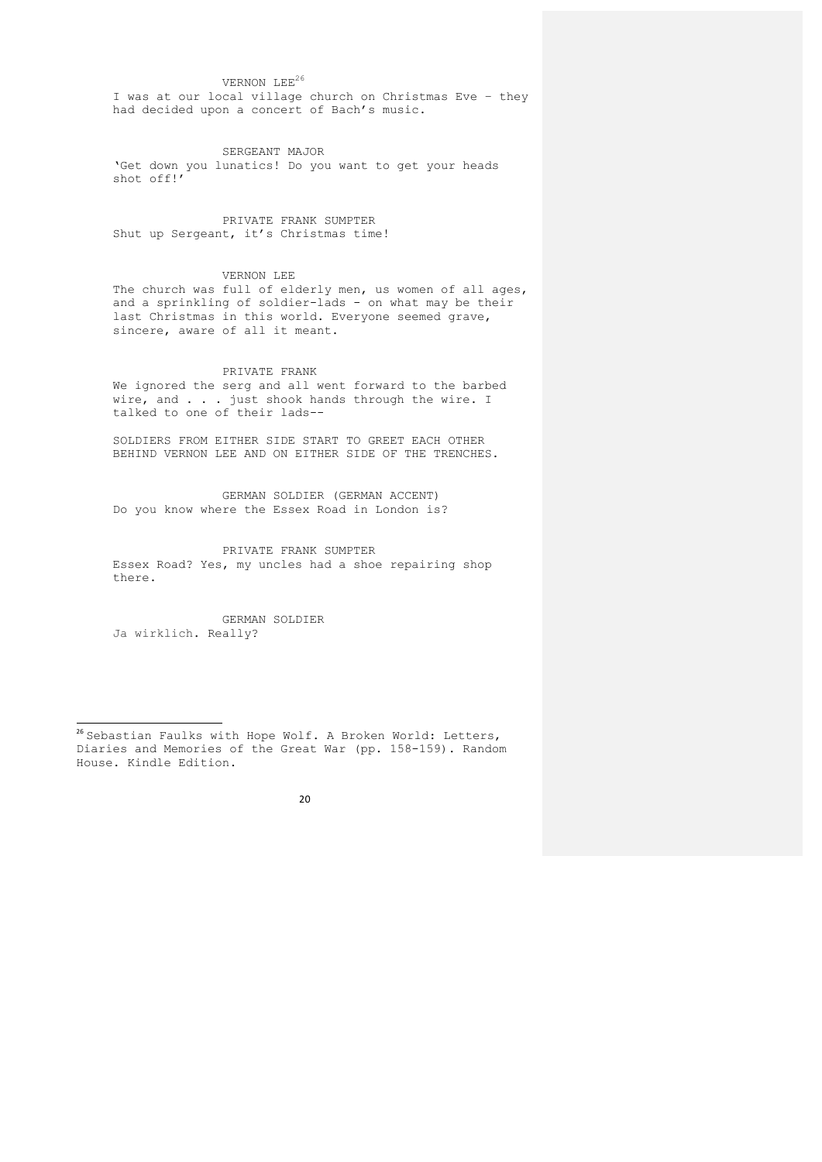# VERNON LEE<sup>26</sup>

I was at our local village church on Christmas Eve – they had decided upon a concert of Bach's music.

SERGEANT MAJOR 'Get down you lunatics! Do you want to get your heads shot off!'

PRIVATE FRANK SUMPTER Shut up Sergeant, it's Christmas time!

#### VERNON LEE

The church was full of elderly men, us women of all ages, and a sprinkling of soldier-lads - on what may be their last Christmas in this world. Everyone seemed grave, sincere, aware of all it meant.

## PRIVATE FRANK

We ignored the serg and all went forward to the barbed wire, and . . . just shook hands through the wire. I talked to one of their lads--

SOLDIERS FROM EITHER SIDE START TO GREET EACH OTHER BEHIND VERNON LEE AND ON EITHER SIDE OF THE TRENCHES.

GERMAN SOLDIER (GERMAN ACCENT) Do you know where the Essex Road in London is?

PRIVATE FRANK SUMPTER Essex Road? Yes, my uncles had a shoe repairing shop there.

GERMAN SOLDIER Ja wirklich. Really?

 $^{26}$  Sebastian Faulks with Hope Wolf. A Broken World: Letters, Diaries and Memories of the Great War (pp. 158-159). Random House. Kindle Edition.

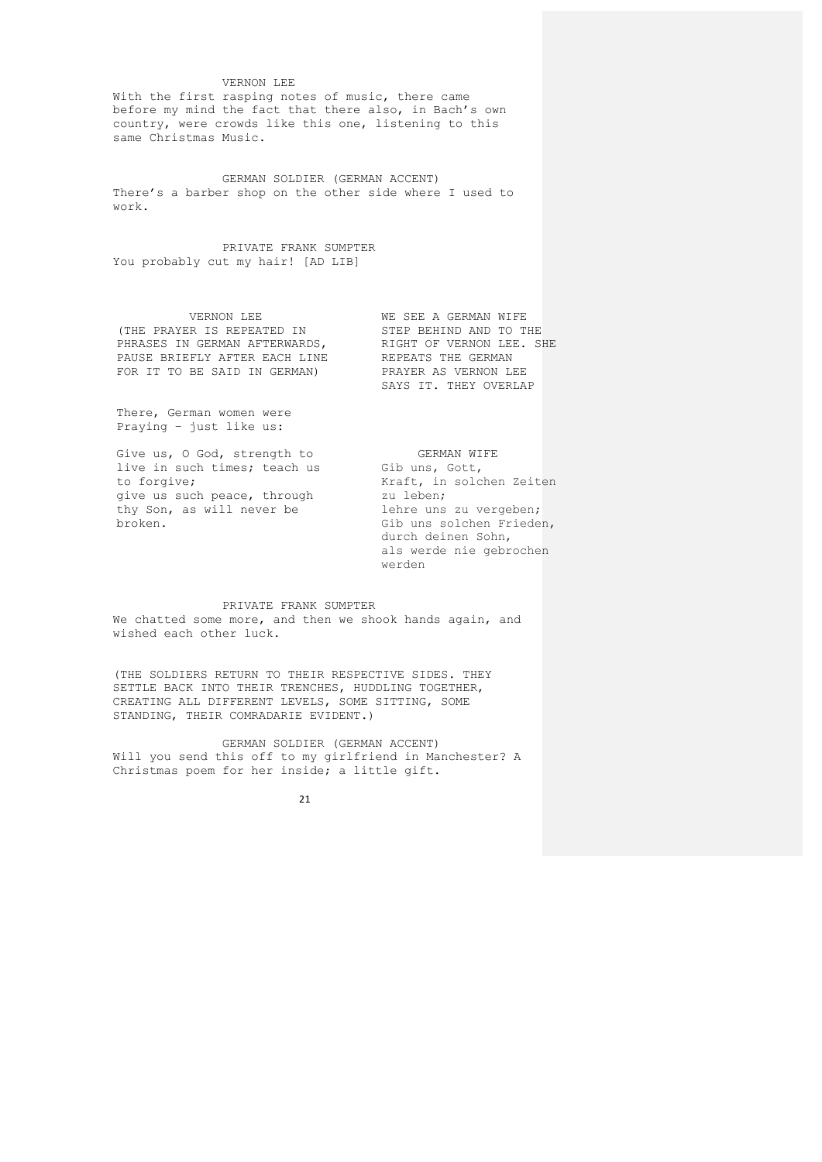## VERNON LEE

With the first rasping notes of music, there came before my mind the fact that there also, in Bach's own country, were crowds like this one, listening to this same Christmas Music.

GERMAN SOLDIER (GERMAN ACCENT) There's a barber shop on the other side where I used to work.

PRIVATE FRANK SUMPTER You probably cut my hair! [AD LIB]

VERNON LEE (THE PRAYER IS REPEATED IN PHRASES IN GERMAN AFTERWARDS, PAUSE BRIEFLY AFTER EACH LINE FOR IT TO BE SAID IN GERMAN)

WE SEE A GERMAN WIFE STEP BEHIND AND TO THE RIGHT OF VERNON LEE. SHE REPEATS THE GERMAN PRAYER AS VERNON LEE SAYS IT. THEY OVERLAP

There, German women were Praying – just like us:

Give us, O God, strength to live in such times; teach us to forgive; give us such peace, through thy Son, as will never be broken.

 GERMAN WIFE Gib uns, Gott, Kraft, in solchen Zeiten zu leben; lehre uns zu vergeben; Gib uns solchen Frieden, durch deinen Sohn, als werde nie gebrochen werden

#### PRIVATE FRANK SUMPTER

We chatted some more, and then we shook hands again, and wished each other luck.

(THE SOLDIERS RETURN TO THEIR RESPECTIVE SIDES. THEY SETTLE BACK INTO THEIR TRENCHES, HUDDLING TOGETHER, CREATING ALL DIFFERENT LEVELS, SOME SITTING, SOME STANDING, THEIR COMRADARIE EVIDENT.)

GERMAN SOLDIER (GERMAN ACCENT) Will you send this off to my girlfriend in Manchester? A Christmas poem for her inside; a little gift.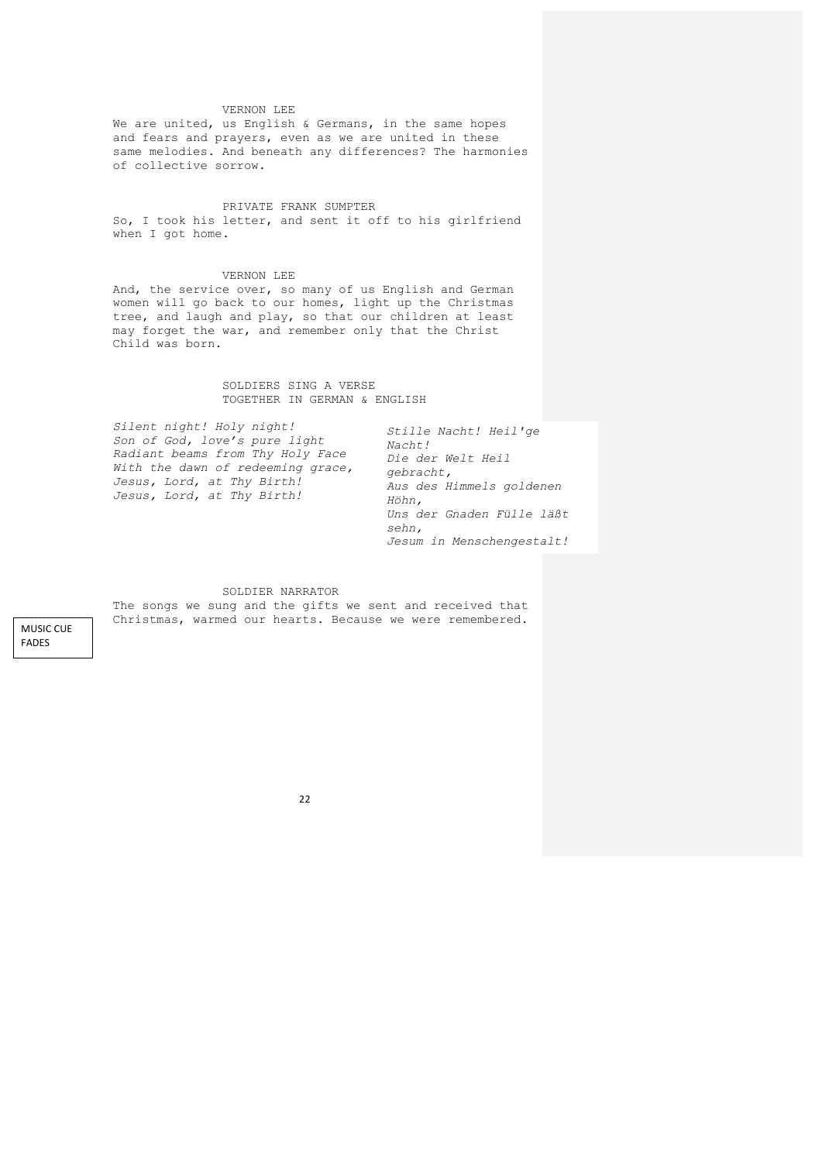## VERNON LEE

We are united, us English & Germans, in the same hopes and fears and prayers, even as we are united in these same melodies. And beneath any differences? The harmonies of collective sorrow.

## PRIVATE FRANK SUMPTER

So, I took his letter, and sent it off to his girlfriend when I got home.

#### VERNON LEE

And, the service over, so many of us English and German women will go back to our homes, light up the Christmas tree, and laugh and play, so that our children at least may forget the war, and remember only that the Christ Child was born.

# SOLDIERS SING A VERSE TOGETHER IN GERMAN & ENGLISH

| Silent night! Holy night!<br>Son of God, love's pure light<br>Radiant beams from Thy Holy Face<br>With the dawn of redeeming grace,<br>Jesus, Lord, at Thy Birth!<br>Jesus, Lord, at Thy Birth! | Stille Nacht! Heil'ge<br>Nacht!<br>Die der Welt Heil<br>gebracht,<br>Aus des Himmels goldenen<br>Höhn,<br>Uns der Gnaden Fülle läßt<br>sehn, |
|-------------------------------------------------------------------------------------------------------------------------------------------------------------------------------------------------|----------------------------------------------------------------------------------------------------------------------------------------------|
|-------------------------------------------------------------------------------------------------------------------------------------------------------------------------------------------------|----------------------------------------------------------------------------------------------------------------------------------------------|

*Jesum in Menschengestalt!* 

#### SOLDIER NARRATOR

The songs we sung and the gifts we sent and received that Christmas, warmed our hearts. Because we were remembered.

**MUSIC CUE** FADES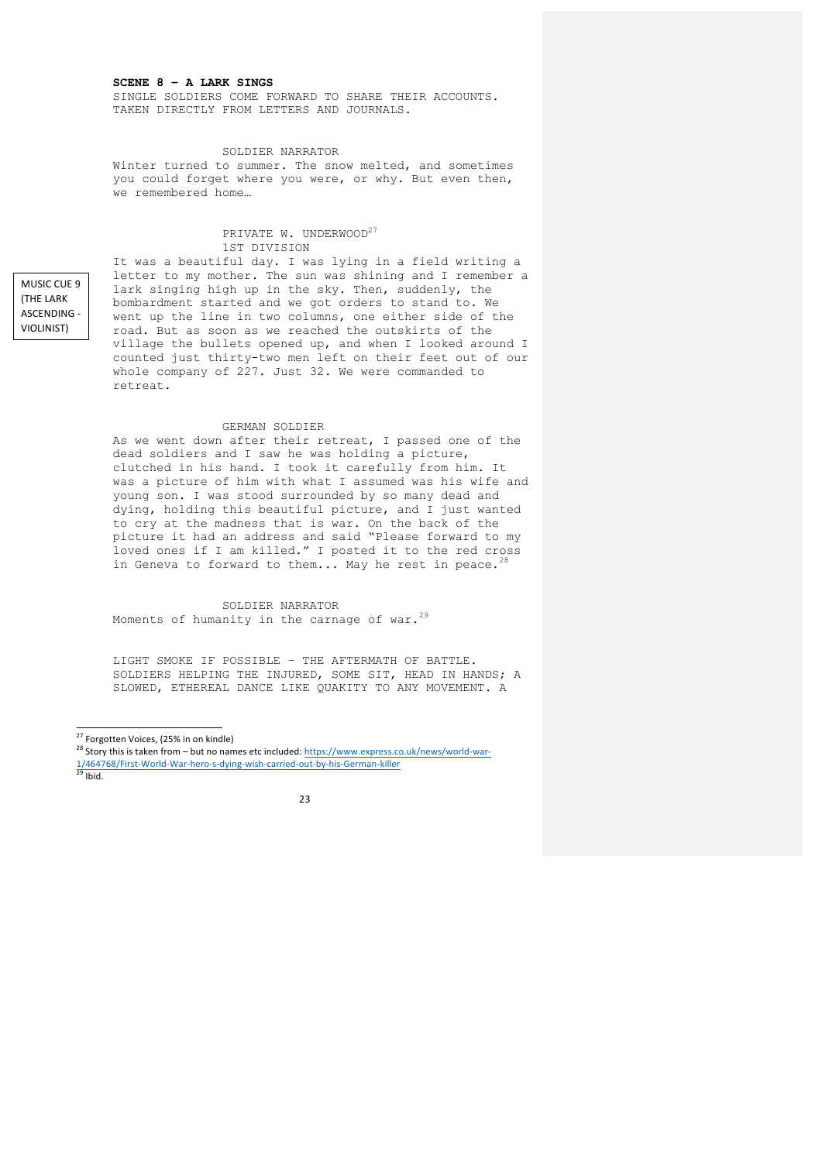# **SCENE 8 – A LARK SINGS**

SINGLE SOLDIERS COME FORWARD TO SHARE THEIR ACCOUNTS. TAKEN DIRECTLY FROM LETTERS AND JOURNALS.

#### SOLDIER NARRATOR

Winter turned to summer. The snow melted, and sometimes you could forget where you were, or why. But even then, we remembered home…

## PRIVATE W. UNDERWOOD<sup>27</sup> 1ST DIVISION

MUSIC CUE 9 (THE LARK) **ASCENDING -**VIOLINIST) 

<u>)</u>

It was a beautiful day. I was lying in a field writing a letter to my mother. The sun was shining and I remember a lark singing high up in the sky. Then, suddenly, the bombardment started and we got orders to stand to. We went up the line in two columns, one either side of the road. But as soon as we reached the outskirts of the village the bullets opened up, and when I looked around I counted just thirty-two men left on their feet out of our whole company of 227. Just 32. We were commanded to retreat.

#### GERMAN SOLDIER

As we went down after their retreat, I passed one of the dead soldiers and I saw he was holding a picture, clutched in his hand. I took it carefully from him. It was a picture of him with what I assumed was his wife and young son. I was stood surrounded by so many dead and dying, holding this beautiful picture, and I just wanted to cry at the madness that is war. On the back of the picture it had an address and said "Please forward to my loved ones if I am killed." I posted it to the red cross in Geneva to forward to them... May he rest in peace.<sup>28</sup>

SOLDIER NARRATOR Moments of humanity in the carnage of war. $^{29}$ 

LIGHT SMOKE IF POSSIBLE – THE AFTERMATH OF BATTLE. SOLDIERS HELPING THE INJURED, SOME SIT, HEAD IN HANDS; A SLOWED, ETHEREAL DANCE LIKE QUAKITY TO ANY MOVEMENT. A

<sup>&</sup>lt;sup>27</sup> Forgotten Voices, (25% in on kindle)<br><sup>28</sup> Story this is taken from – but no names etc included: <u>https://www.express.co.uk/news/world-war-</u> 1/464768/First-World-War-hero-s-dying-wish-carried-out-by-his-German-killer<br><sup>29</sup> Ibid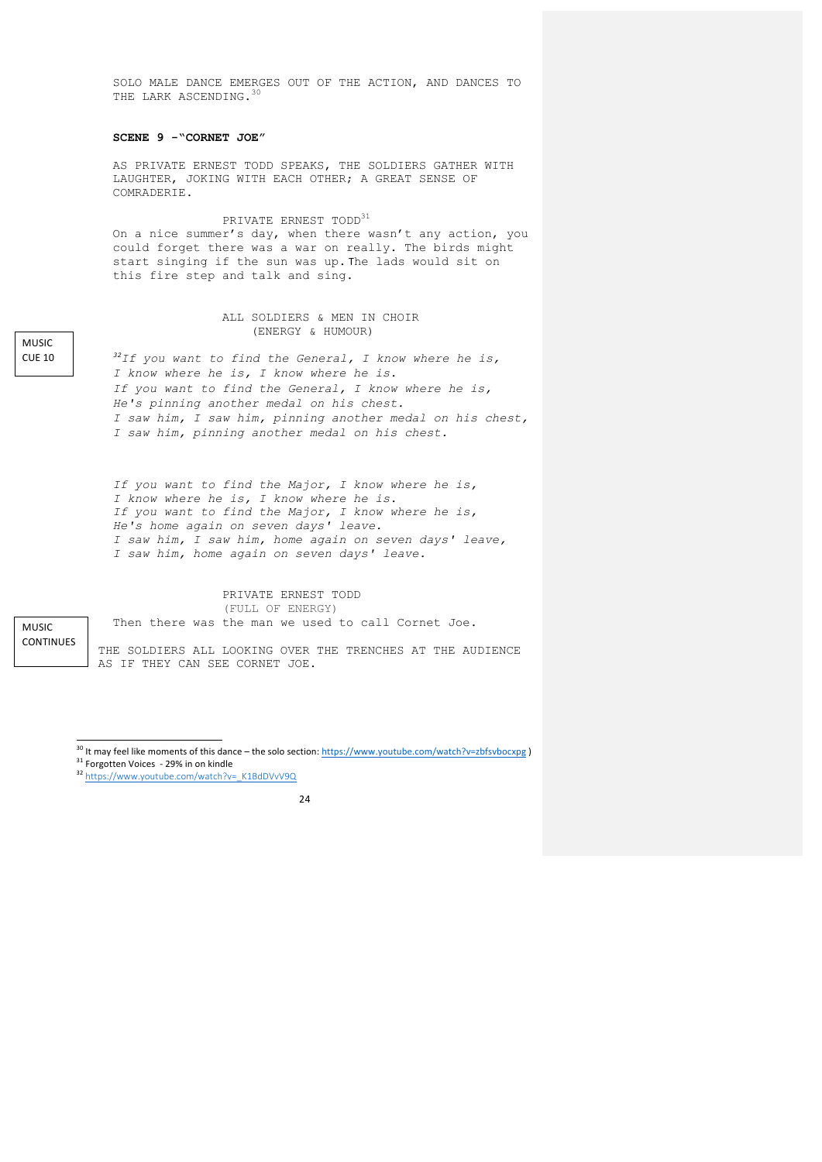SOLO MALE DANCE EMERGES OUT OF THE ACTION, AND DANCES TO THE LARK ASCENDING. 30

## **SCENE 9 -"CORNET JOE"**

AS PRIVATE ERNEST TODD SPEAKS, THE SOLDIERS GATHER WITH LAUGHTER, JOKING WITH EACH OTHER; A GREAT SENSE OF COMRADERIE.

# PRIVATE ERNEST TOD $D^{31}$

On a nice summer's day, when there wasn't any action, you could forget there was a war on really. The birds might start singing if the sun was up. The lads would sit on this fire step and talk and sing.

#### ALL SOLDIERS & MEN IN CHOIR (ENERGY & HUMOUR)

*<sup>32</sup>If you want to find the General, I know where he is, I know where he is, I know where he is. If you want to find the General, I know where he is, He's pinning another medal on his chest. I saw him, I saw him, pinning another medal on his chest, I saw him, pinning another medal on his chest.*

*If you want to find the Major, I know where he is, I know where he is, I know where he is. If you want to find the Major, I know where he is, He's home again on seven days' leave. I saw him, I saw him, home again on seven days' leave, I saw him, home again on seven days' leave.*

#### PRIVATE ERNEST TODD (FULL OF ENERGY)

Then there was the man we used to call Cornet Joe.

MUSIC **CONTINUES** 

THE SOLDIERS ALL LOOKING OVER THE TRENCHES AT THE AUDIENCE AS IF THEY CAN SEE CORNET JOE.



<sup>&</sup>lt;sup>30</sup> It may feel like moments of this dance – the solo section: <u>https://www.youtube.com/watch?v=zbfsvbocxpg</u> )<br><sup>31</sup> Forgotten Voices - 29% in on kindle<br><sup>32</sup> https://www.youtube.com/watch?v=\_K1BdDVvV9Q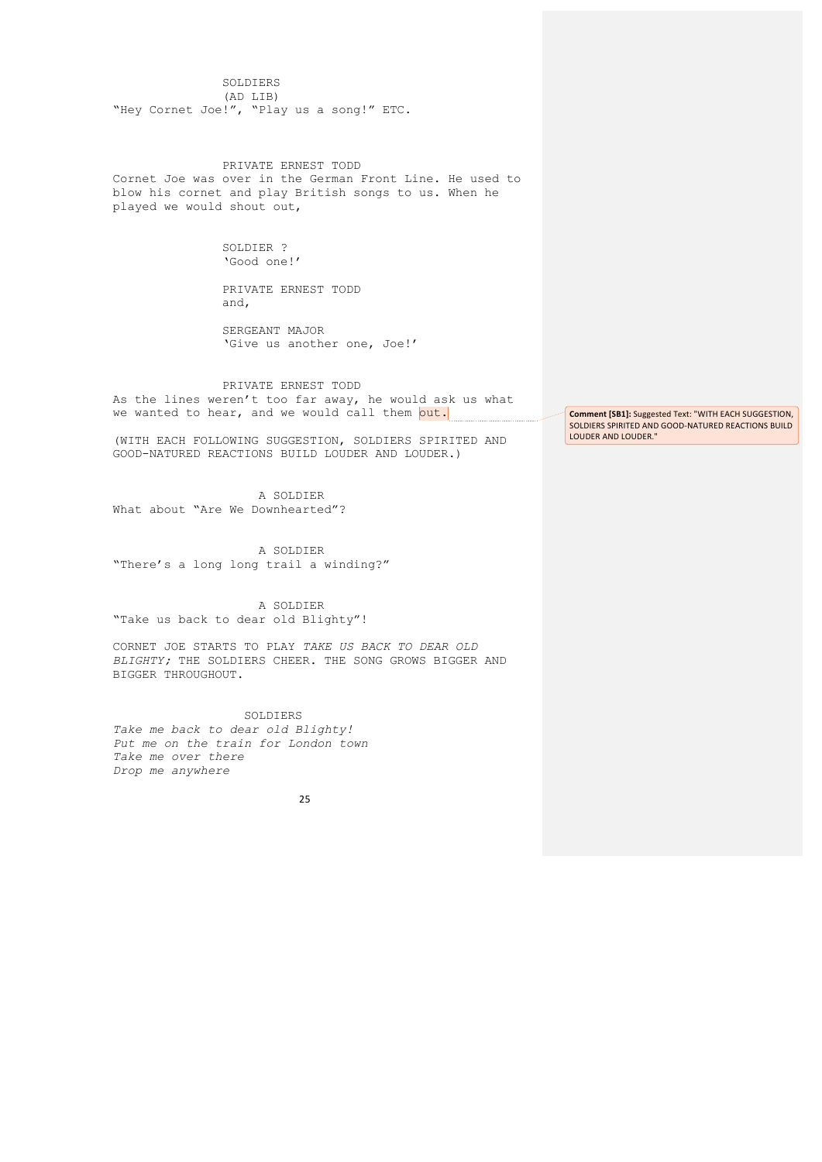SOLDIERS (AD LIB) "Hey Cornet Joe!", "Play us a song!" ETC.

PRIVATE ERNEST TODD Cornet Joe was over in the German Front Line. He used to blow his cornet and play British songs to us. When he played we would shout out,

> SOLDIER ? 'Good one!'

PRIVATE ERNEST TODD and,

SERGEANT MAJOR 'Give us another one, Joe!'

# PRIVATE ERNEST TODD

As the lines weren't too far away, he would ask us what we wanted to hear, and we would call them out.

(WITH EACH FOLLOWING SUGGESTION, SOLDIERS SPIRITED AND GOOD-NATURED REACTIONS BUILD LOUDER AND LOUDER.)

A SOLDIER What about "Are We Downhearted"?

A SOLDIER "There's a long long trail a winding?"

A SOLDIER "Take us back to dear old Blighty"!

CORNET JOE STARTS TO PLAY *TAKE US BACK TO DEAR OLD BLIGHTY;* THE SOLDIERS CHEER. THE SONG GROWS BIGGER AND BIGGER THROUGHOUT.

 SOLDIERS *Take me back to dear old Blighty! Put me on the train for London town Take me over there Drop me anywhere*

25

**Comment [SB1]:** Suggested Text: "WITH EACH SUGGESTION, SOLDIERS SPIRITED AND GOOD-NATURED REACTIONS BUILD LOUDER AND LOUDER."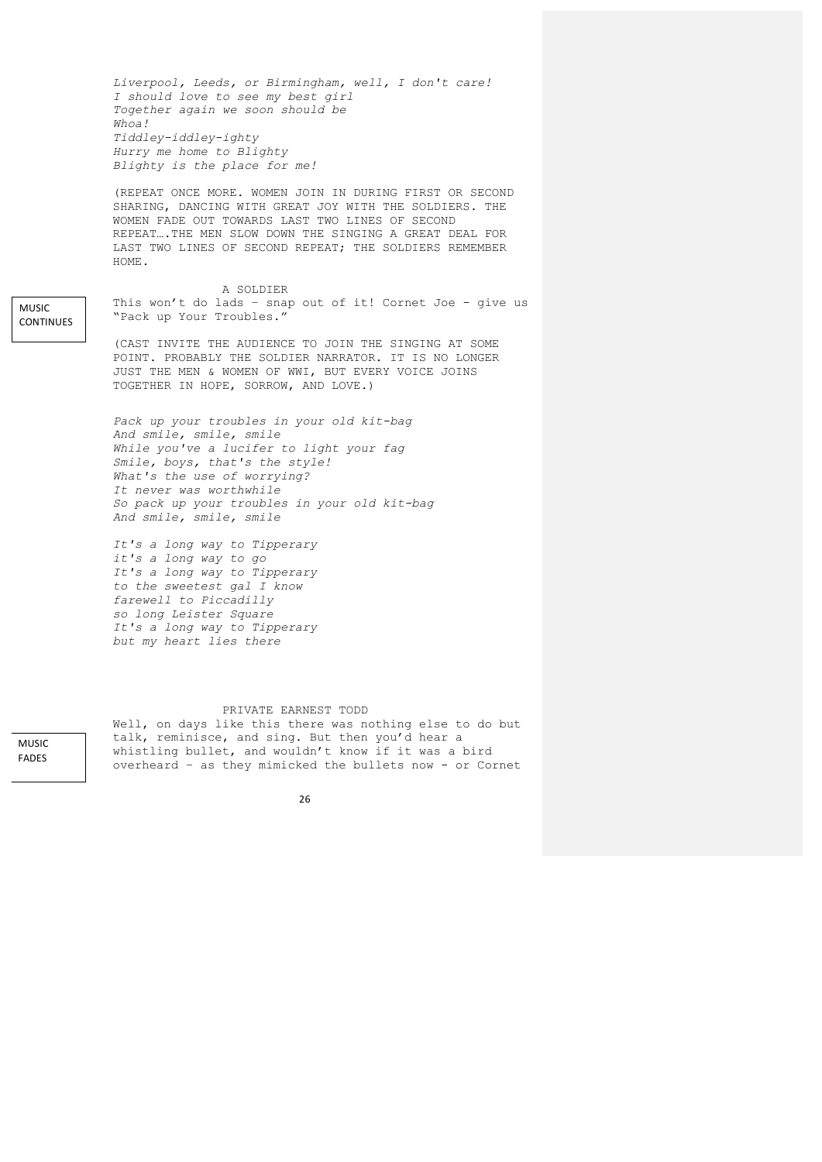*Liverpool, Leeds, or Birmingham, well, I don't care! I should love to see my best girl Together again we soon should be Whoa! Tiddley-iddley-ighty Hurry me home to Blighty Blighty is the place for me!* (REPEAT ONCE MORE. WOMEN JOIN IN DURING FIRST OR SECOND SHARING, DANCING WITH GREAT JOY WITH THE SOLDIERS. THE WOMEN FADE OUT TOWARDS LAST TWO LINES OF SECOND REPEAT….THE MEN SLOW DOWN THE SINGING A GREAT DEAL FOR LAST TWO LINES OF SECOND REPEAT; THE SOLDIERS REMEMBER HOME. A SOLDIER This won't do lads - snap out of it! Cornet Joe - give us "Pack up Your Troubles." (CAST INVITE THE AUDIENCE TO JOIN THE SINGING AT SOME POINT. PROBABLY THE SOLDIER NARRATOR. IT IS NO LONGER JUST THE MEN & WOMEN OF WWI, BUT EVERY VOICE JOINS TOGETHER IN HOPE, SORROW, AND LOVE.) *Pack up your troubles in your old kit-bag And smile, smile, smile While you've a lucifer to light your fag Smile, boys, that's the style! What's the use of worrying? It never was worthwhile So pack up your troubles in your old kit-bag And smile, smile, smile It's a long way to Tipperary*

*it's a long way to go It's a long way to Tipperary to the sweetest gal I know farewell to Piccadilly so long Leister Square It's a long way to Tipperary but my heart lies there*

#### PRIVATE EARNEST TODD

Well, on days like this there was nothing else to do but talk, reminisce, and sing. But then you'd hear a whistling bullet, and wouldn't know if it was a bird overheard – as they mimicked the bullets now - or Cornet

MUSIC FADES 

MUSIC CONTINUES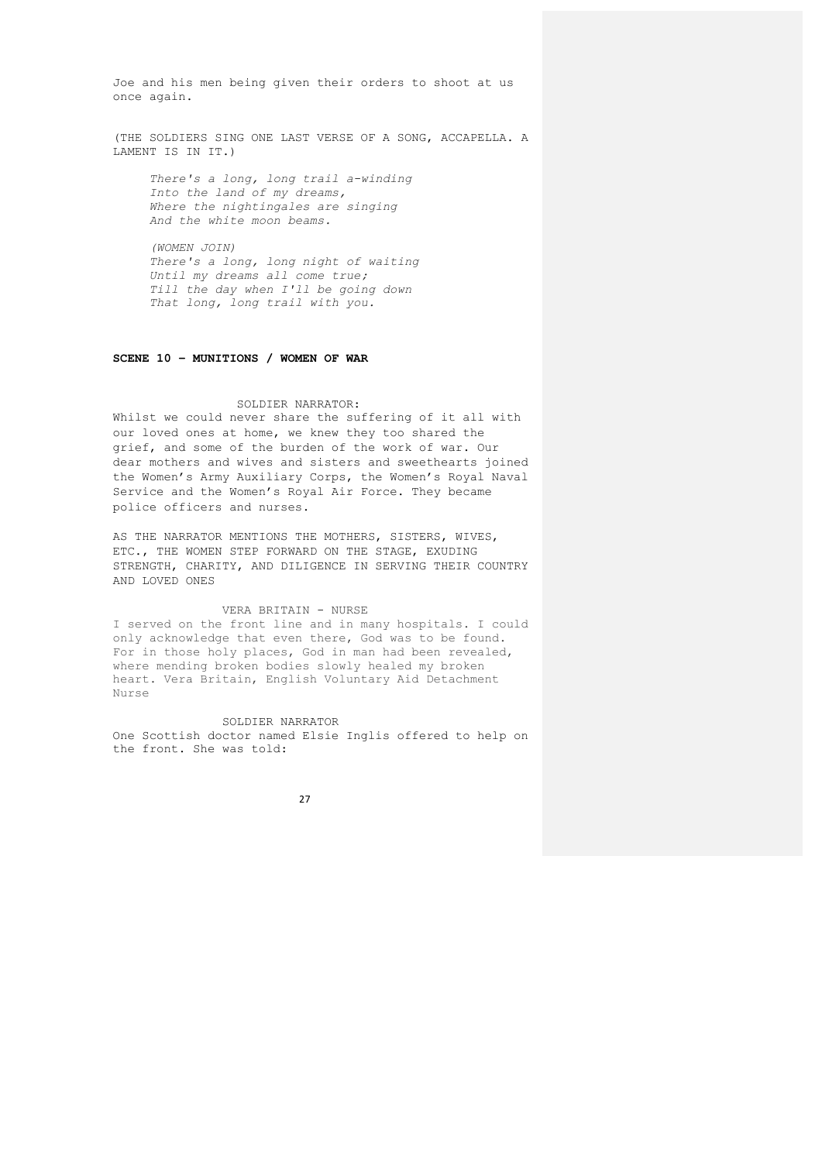Joe and his men being given their orders to shoot at us once again.

(THE SOLDIERS SING ONE LAST VERSE OF A SONG, ACCAPELLA. A LAMENT IS IN IT.)

*There's a long, long trail a-winding Into the land of my dreams, Where the nightingales are singing And the white moon beams.*

*(WOMEN JOIN) There's a long, long night of waiting Until my dreams all come true; Till the day when I'll be going down That long, long trail with you.*

## **SCENE 10 – MUNITIONS / WOMEN OF WAR**

#### SOLDIER NARRATOR:

Whilst we could never share the suffering of it all with our loved ones at home, we knew they too shared the grief, and some of the burden of the work of war. Our dear mothers and wives and sisters and sweethearts joined the Women's Army Auxiliary Corps, the Women's Royal Naval Service and the Women's Royal Air Force. They became police officers and nurses.

AS THE NARRATOR MENTIONS THE MOTHERS, SISTERS, WIVES, ETC., THE WOMEN STEP FORWARD ON THE STAGE, EXUDING STRENGTH, CHARITY, AND DILIGENCE IN SERVING THEIR COUNTRY AND LOVED ONES

## VERA BRITAIN - NURSE

I served on the front line and in many hospitals. I could only acknowledge that even there, God was to be found. For in those holy places, God in man had been revealed, where mending broken bodies slowly healed my broken heart. Vera Britain, English Voluntary Aid Detachment Nurse

SOLDIER NARRATOR

One Scottish doctor named Elsie Inglis offered to help on the front. She was told: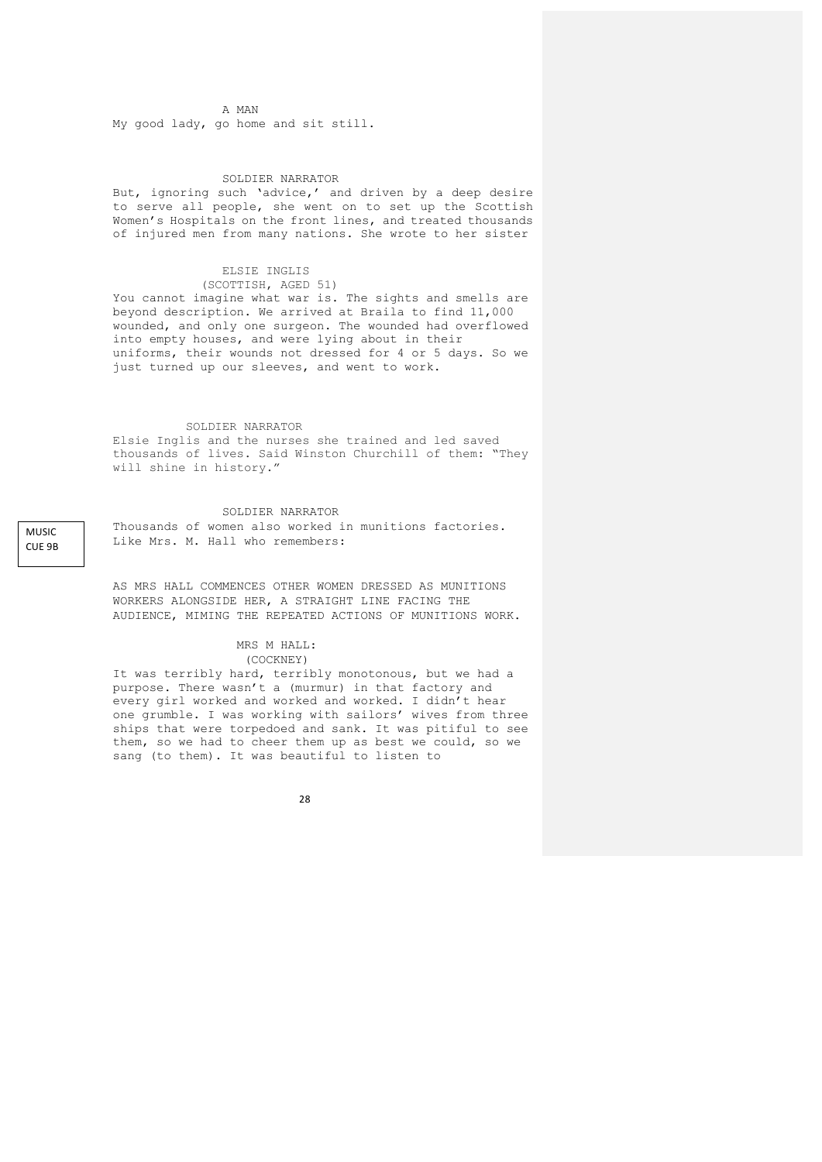A MAN

My good lady, go home and sit still.

### SOLDIER NARRATOR

But, ignoring such 'advice,' and driven by a deep desire to serve all people, she went on to set up the Scottish Women's Hospitals on the front lines, and treated thousands of injured men from many nations. She wrote to her sister

### ELSIE INGLIS

 (SCOTTISH, AGED 51) You cannot imagine what war is. The sights and smells are beyond description. We arrived at Braila to find 11,000 wounded, and only one surgeon. The wounded had overflowed into empty houses, and were lying about in their uniforms, their wounds not dressed for 4 or 5 days. So we just turned up our sleeves, and went to work.

#### SOLDIER NARRATOR

Elsie Inglis and the nurses she trained and led saved thousands of lives. Said Winston Churchill of them: "They will shine in history."

#### SOLDIER NARRATOR

Thousands of women also worked in munitions factories. Like Mrs. M. Hall who remembers:

AS MRS HALL COMMENCES OTHER WOMEN DRESSED AS MUNITIONS WORKERS ALONGSIDE HER, A STRAIGHT LINE FACING THE AUDIENCE, MIMING THE REPEATED ACTIONS OF MUNITIONS WORK.

#### MRS M HALL: (COCKNEY)

It was terribly hard, terribly monotonous, but we had a purpose. There wasn't a (murmur) in that factory and every girl worked and worked and worked. I didn't hear one grumble. I was working with sailors' wives from three ships that were torpedoed and sank. It was pitiful to see them, so we had to cheer them up as best we could, so we sang (to them). It was beautiful to listen to

28

MUSIC CUE 9B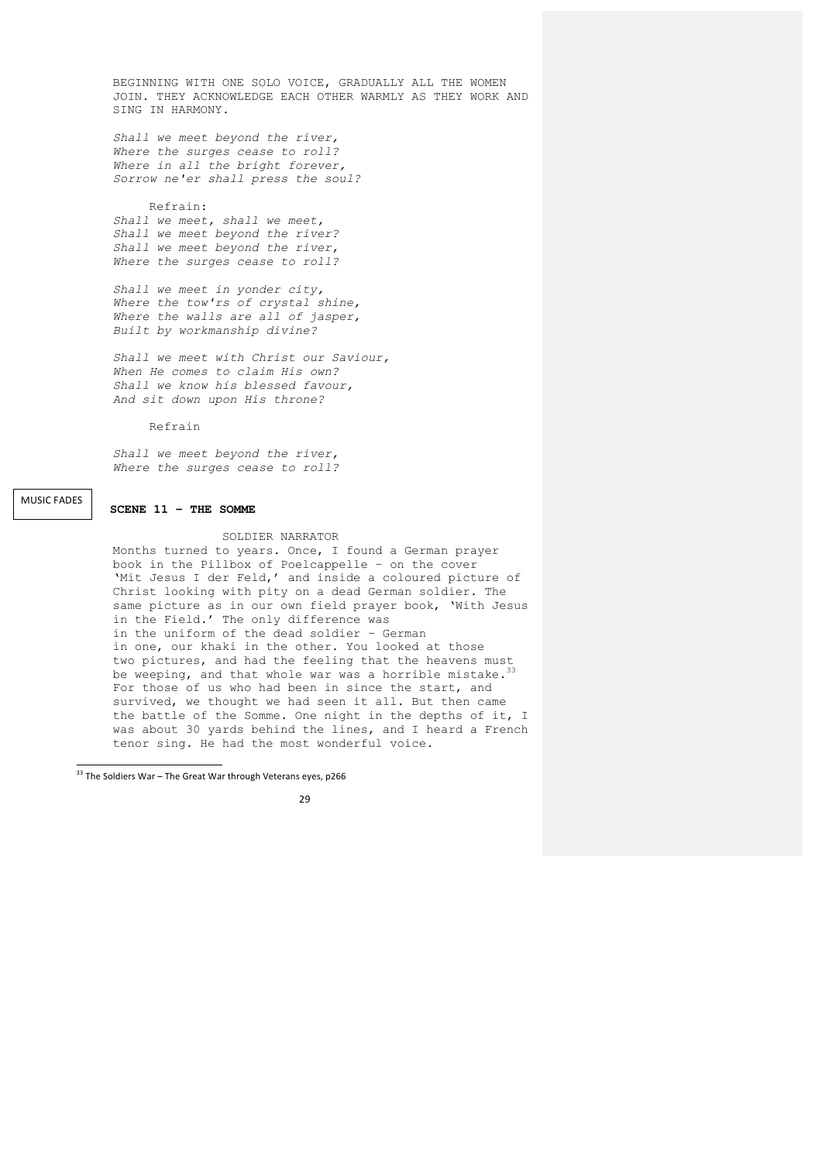BEGINNING WITH ONE SOLO VOICE, GRADUALLY ALL THE WOMEN JOIN. THEY ACKNOWLEDGE EACH OTHER WARMLY AS THEY WORK AND SING IN HARMONY.

*Shall we meet beyond the river, Where the surges cease to roll? Where in all the bright forever, Sorrow ne'er shall press the soul?*

# Refrain:

*Shall we meet, shall we meet, Shall we meet beyond the river? Shall we meet beyond the river, Where the surges cease to roll?*

*Shall we meet in yonder city, Where the tow'rs of crystal shine, Where the walls are all of jasper, Built by workmanship divine?*

*Shall we meet with Christ our Saviour, When He comes to claim His own? Shall we know his blessed favour, And sit down upon His throne?*

Refrain

*Shall we meet beyond the river, Where the surges cease to roll?*

**MUSIC FADES** 

# **SCENE 11 – THE SOMME**

## SOLDIER NARRATOR

Months turned to years. Once, I found a German prayer book in the Pillbox of Poelcappelle – on the cover 'Mit Jesus I der Feld,' and inside a coloured picture of Christ looking with pity on a dead German soldier. The same picture as in our own field prayer book, 'With Jesus in the Field.' The only difference was in the uniform of the dead soldier – German in one, our khaki in the other. You looked at those two pictures, and had the feeling that the heavens must be weeping, and that whole war was a horrible mistake. For those of us who had been in since the start, and survived, we thought we had seen it all. But then came the battle of the Somme. One night in the depths of it, I was about 30 yards behind the lines, and I heard a French tenor sing. He had the most wonderful voice.

 <sup>33</sup> The Soldiers War – The Great War through Veterans eyes, p266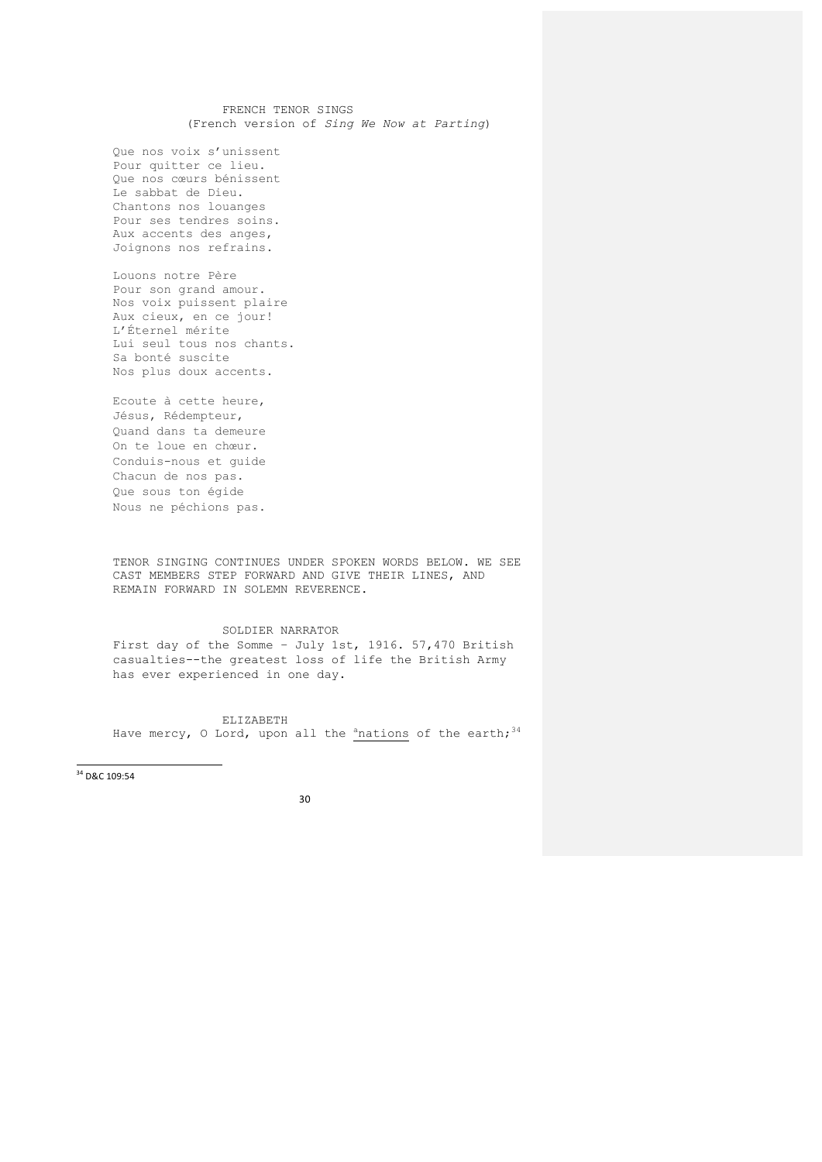FRENCH TENOR SINGS (French version of *Sing We Now at Parting*)

Que nos voix s'unissent Pour quitter ce lieu. Que nos cœurs bénissent Le sabbat de Dieu. Chantons nos louanges Pour ses tendres soins. Aux accents des anges, Joignons nos refrains.

Louons notre Père Pour son grand amour. Nos voix puissent plaire Aux cieux, en ce jour! L'Éternel mérite Lui seul tous nos chants. Sa bonté suscite Nos plus doux accents.

Ecoute à cette heure, Jésus, Rédempteur, Quand dans ta demeure On te loue en chœur. Conduis-nous et guide Chacun de nos pas. Que sous ton égide Nous ne péchions pas.

TENOR SINGING CONTINUES UNDER SPOKEN WORDS BELOW. WE SEE CAST MEMBERS STEP FORWARD AND GIVE THEIR LINES, AND REMAIN FORWARD IN SOLEMN REVERENCE.

## SOLDIER NARRATOR First day of the Somme – July 1st, 1916. 57,470 British casualties--the greatest loss of life the British Army has ever experienced in one day.

ELIZABETH Have mercy, O Lord, upon all the  $^{\text{a}}$ nations of the earth;  $^{34}$ 

 $\frac{1}{34}$  D&C 109:54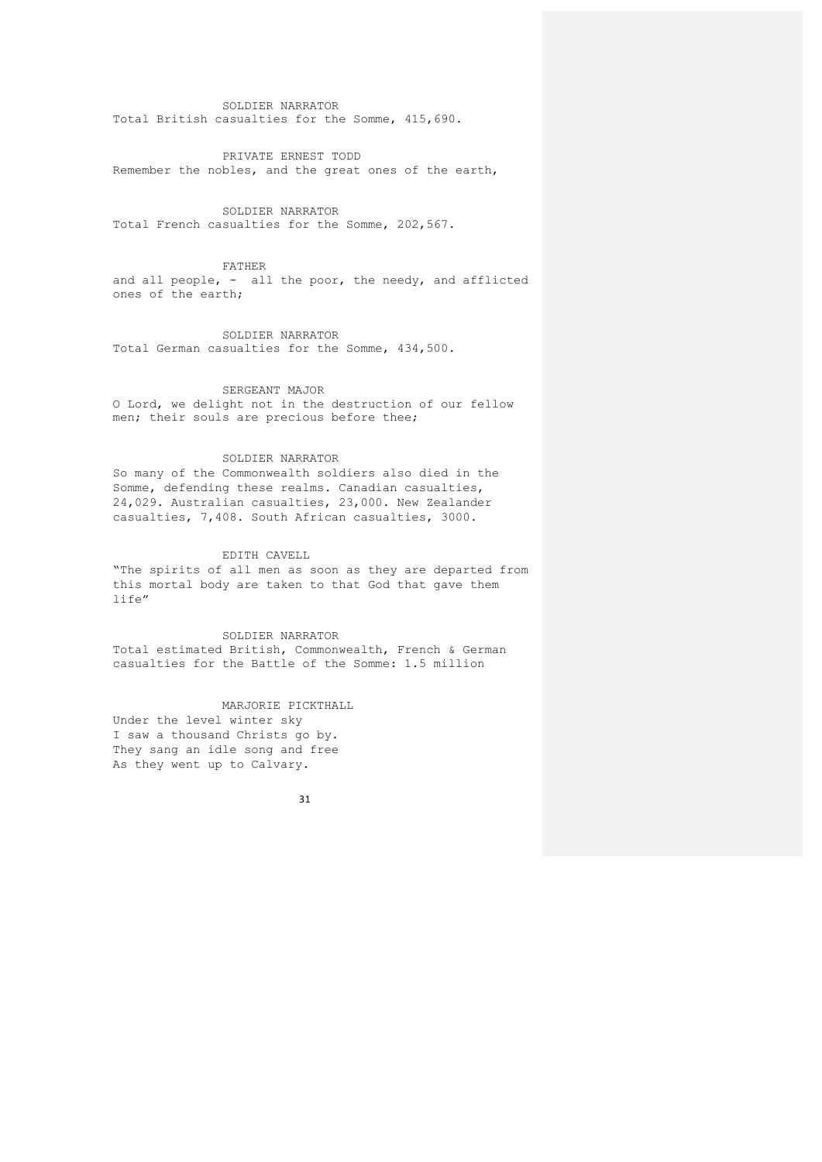SOLDIER NARRATOR Total British casualties for the Somme, 415,690.

PRIVATE ERNEST TODD Remember the nobles, and the great ones of the earth,

SOLDIER NARRATOR Total French casualties for the Somme, 202,567.

FATHER

and all people, - all the poor, the needy, and afflicted ones of the earth;

SOLDIER NARRATOR Total German casualties for the Somme, 434,500.

## SERGEANT MAJOR

O Lord, we delight not in the destruction of our fellow men; their souls are precious before thee;

## SOLDIER NARRATOR

So many of the Commonwealth soldiers also died in the Somme, defending these realms. Canadian casualties, 24,029. Australian casualties, 23,000. New Zealander casualties, 7,408. South African casualties, 3000.

## EDITH CAVELL

"The spirits of all men as soon as they are departed from this mortal body are taken to that God that gave them life"

SOLDIER NARRATOR

Total estimated British, Commonwealth, French & German casualties for the Battle of the Somme: 1.5 million

# MARJORIE PICKTHALL

Under the level winter sky I saw a thousand Christs go by. They sang an idle song and free As they went up to Calvary.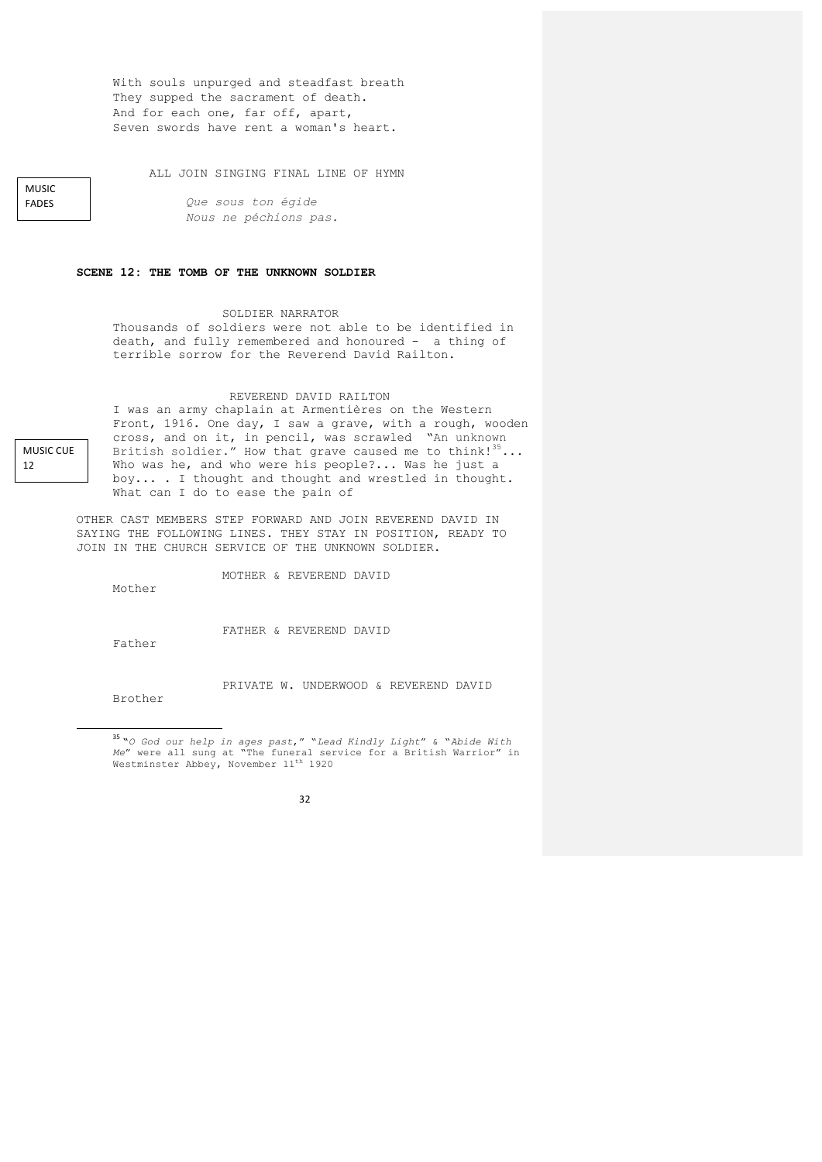With souls unpurged and steadfast breath They supped the sacrament of death. And for each one, far off, apart, Seven swords have rent a woman's heart.

ALL JOIN SINGING FINAL LINE OF HYMN

*Que sous ton égide Nous ne péchions pas.*

## **SCENE 12: THE TOMB OF THE UNKNOWN SOLDIER**

## SOLDIER NARRATOR

Thousands of soldiers were not able to be identified in death, and fully remembered and honoured - a thing of terrible sorrow for the Reverend David Railton.

#### REVEREND DAVID RAILTON

I was an army chaplain at Armentières on the Western Front, 1916. One day, I saw a grave, with a rough, wooden cross, and on it, in pencil, was scrawled "An unknown British soldier." How that grave caused me to think!  $35...$ Who was he, and who were his people?... Was he just a boy... . I thought and thought and wrestled in thought. What can I do to ease the pain of

OTHER CAST MEMBERS STEP FORWARD AND JOIN REVEREND DAVID IN SAYING THE FOLLOWING LINES. THEY STAY IN POSITION, READY TO JOIN IN THE CHURCH SERVICE OF THE UNKNOWN SOLDIER.

MOTHER & REVEREND DAVID

Mother

Father

FATHER & REVEREND DAVID

Brother

<u> Andrew Maria (1989)</u>

PRIVATE W. UNDERWOOD & REVEREND DAVID

<sup>35</sup> **"***O God our help in ages past*," "*Lead Kindly Light*" & "*Abide With Me"* were all sung at "The funeral service for a British Warrior" in<br>Westminster Abbey, November 11<sup>th</sup> 1920

32

MUSIC CUF

12

MUSIC FADES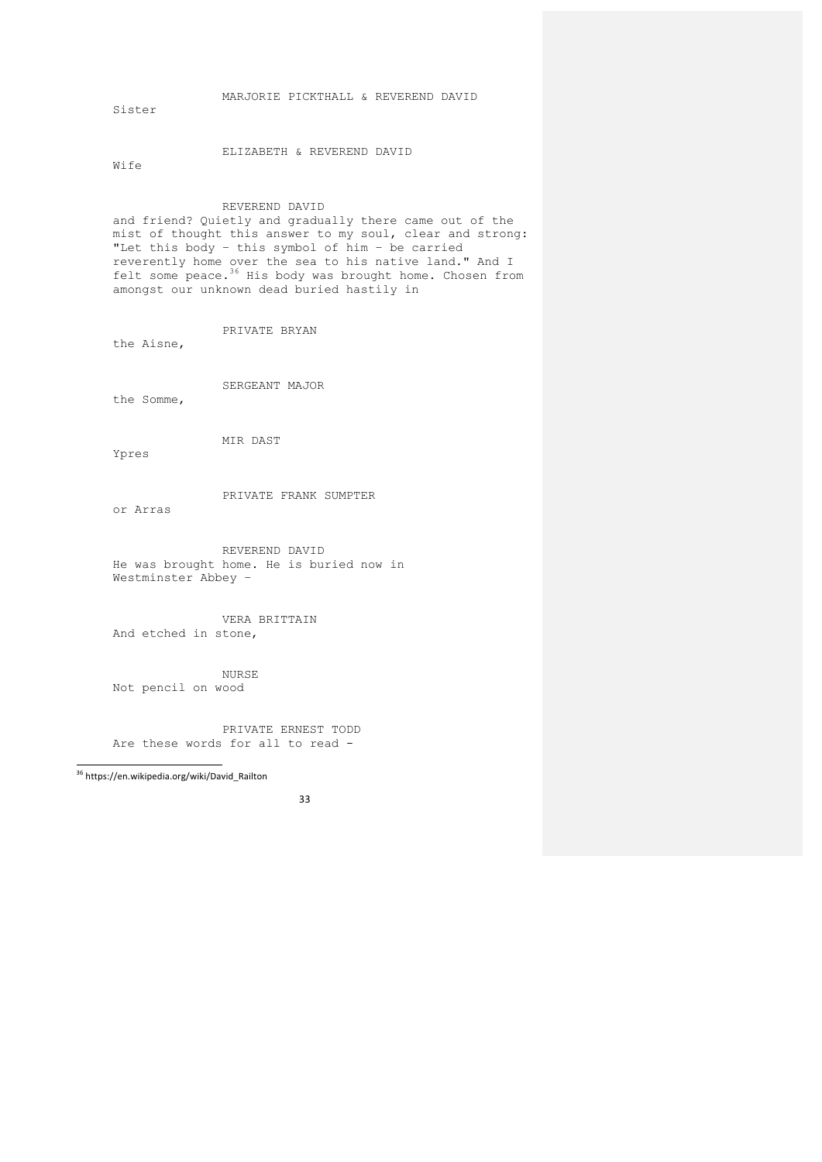MARJORIE PICKTHALL & REVEREND DAVID

Sister

ELIZABETH & REVEREND DAVID

Wife

# REVEREND DAVID

and friend? Quietly and gradually there came out of the mist of thought this answer to my soul, clear and strong: "Let this body – this symbol of him – be carried reverently home over the sea to his native land." And I felt some peace.<sup>36</sup> His body was brought home. Chosen from amongst our unknown dead buried hastily in

# PRIVATE BRYAN

the Aisne,

SERGEANT MAJOR

the Somme,

MIR DAST

Ypres

PRIVATE FRANK SUMPTER

or Arras

REVEREND DAVID He was brought home. He is buried now in Westminster Abbey –

VERA BRITTAIN And etched in stone,

NURSE

Not pencil on wood

PRIVATE ERNEST TODD Are these words for all to read -

 <sup>36</sup> https://en.wikipedia.org/wiki/David\_Railton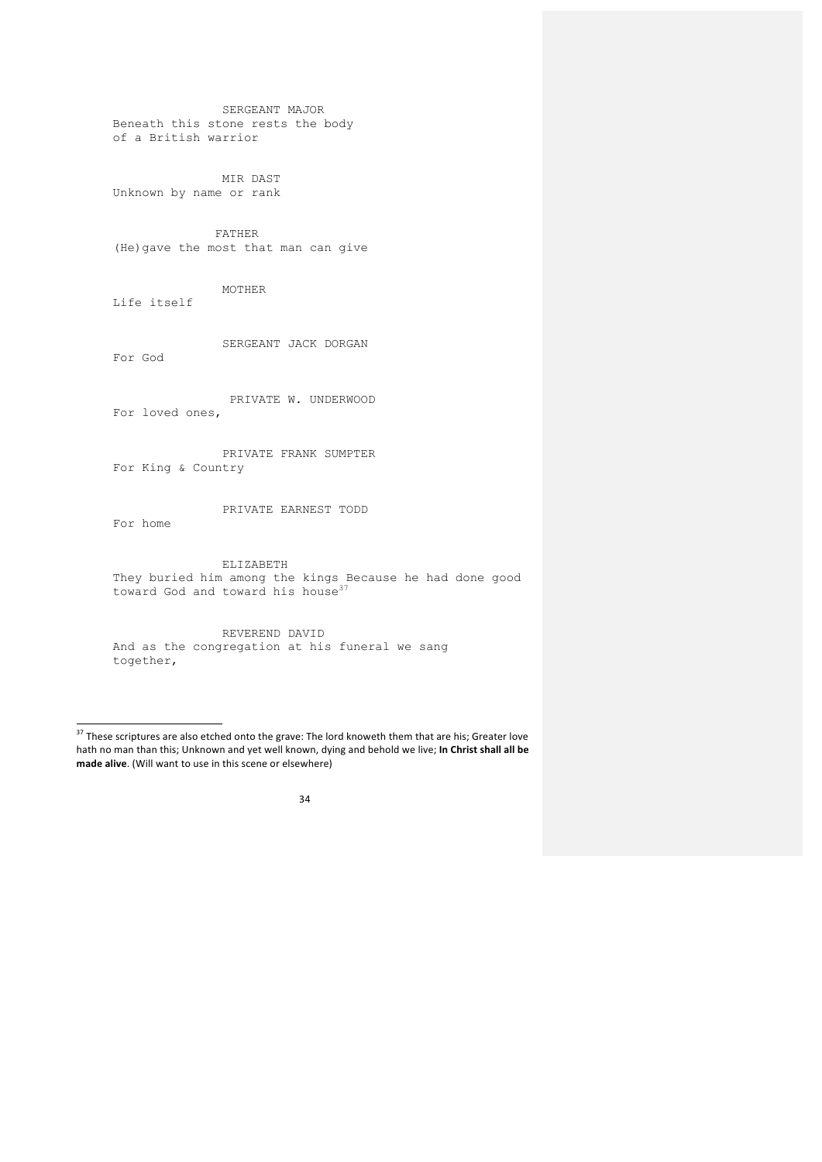SERGEANT MAJOR Beneath this stone rests the body of a British warrior

MIR DAST Unknown by name or rank

 FATHER (He)gave the most that man can give

MOTHER Life itself

<u> Andreas Andreas Andreas Andreas Andreas Andreas Andreas Andreas Andreas Andreas Andreas Andreas Andreas Andreas</u>

 SERGEANT JACK DORGAN For God

 PRIVATE W. UNDERWOOD For loved ones,

PRIVATE FRANK SUMPTER For King & Country

PRIVATE EARNEST TODD For home

ELIZABETH They buried him among the kings Because he had done good toward God and toward his house<sup>37</sup>

REVEREND DAVID And as the congregation at his funeral we sang together,

 $37$  These scriptures are also etched onto the grave: The lord knoweth them that are his; Greater love hath no man than this; Unknown and yet well known, dying and behold we live; In Christ shall all be made alive. (Will want to use in this scene or elsewhere)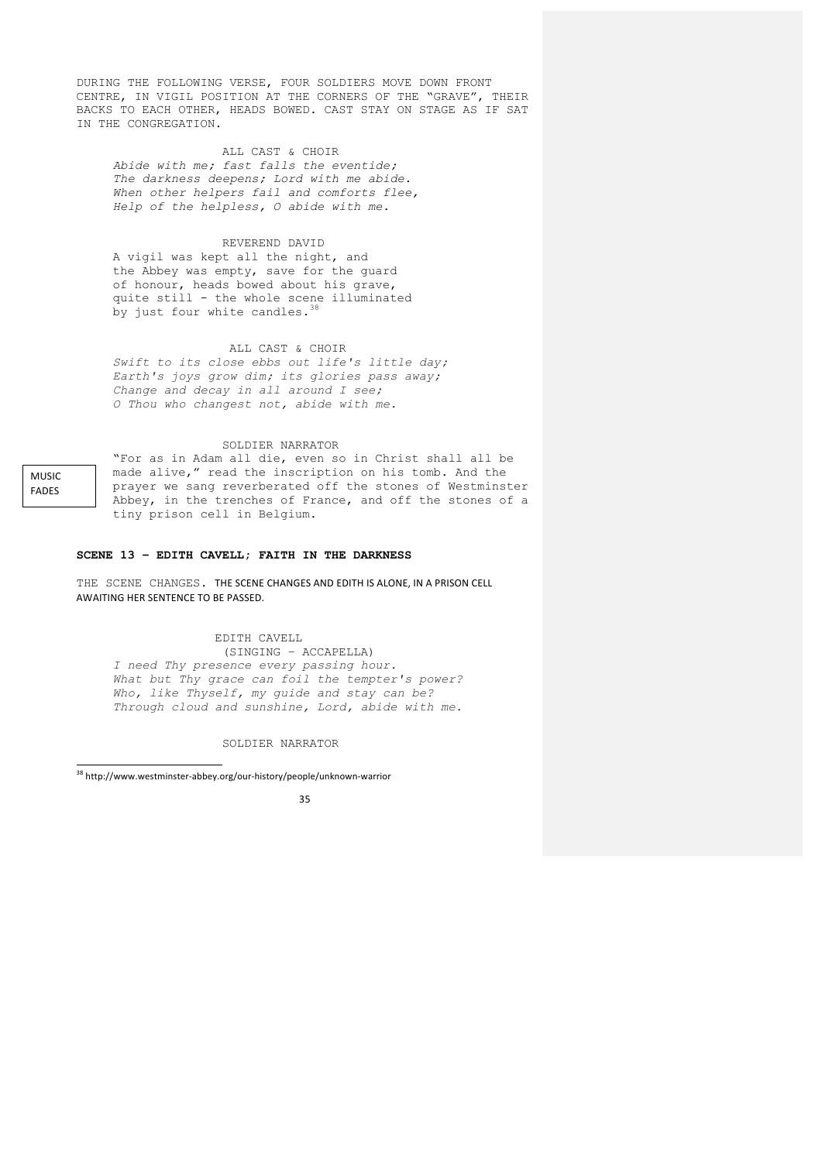DURING THE FOLLOWING VERSE, FOUR SOLDIERS MOVE DOWN FRONT CENTRE, IN VIGIL POSITION AT THE CORNERS OF THE "GRAVE", THEIR BACKS TO EACH OTHER, HEADS BOWED. CAST STAY ON STAGE AS IF SAT IN THE CONGREGATION.

## ALL CAST & CHOIR

*Abide with me; fast falls the eventide; The darkness deepens; Lord with me abide. When other helpers fail and comforts flee, Help of the helpless, O abide with me.*

# REVEREND DAVID

A vigil was kept all the night, and the Abbey was empty, save for the guard of honour, heads bowed about his grave, quite still - the whole scene illuminated by just four white candles. $3$ 

## ALL CAST & CHOIR

*Swift to its close ebbs out life's little day; Earth's joys grow dim; its glories pass away; Change and decay in all around I see; O Thou who changest not, abide with me.*

## SOLDIER NARRATOR

MUSIC FADES

"For as in Adam all die, even so in Christ shall all be made alive," read the inscription on his tomb. And the prayer we sang reverberated off the stones of Westminster Abbey, in the trenches of France, and off the stones of a tiny prison cell in Belgium.

#### **SCENE 13 – EDITH CAVELL; FAITH IN THE DARKNESS**

THE SCENE CHANGES. THE SCENE CHANGES AND EDITH IS ALONE, IN A PRISON CELL AWAITING HER SENTENCE TO BE PASSED.

## EDITH CAVELL

(SINGING – ACCAPELLA) *I need Thy presence every passing hour. What but Thy grace can foil the tempter's power? Who, like Thyself, my guide and stay can be? Through cloud and sunshine, Lord, abide with me.*

SOLDIER NARRATOR

 <sup>38</sup> http://www.westminster-abbey.org/our-history/people/unknown-warrior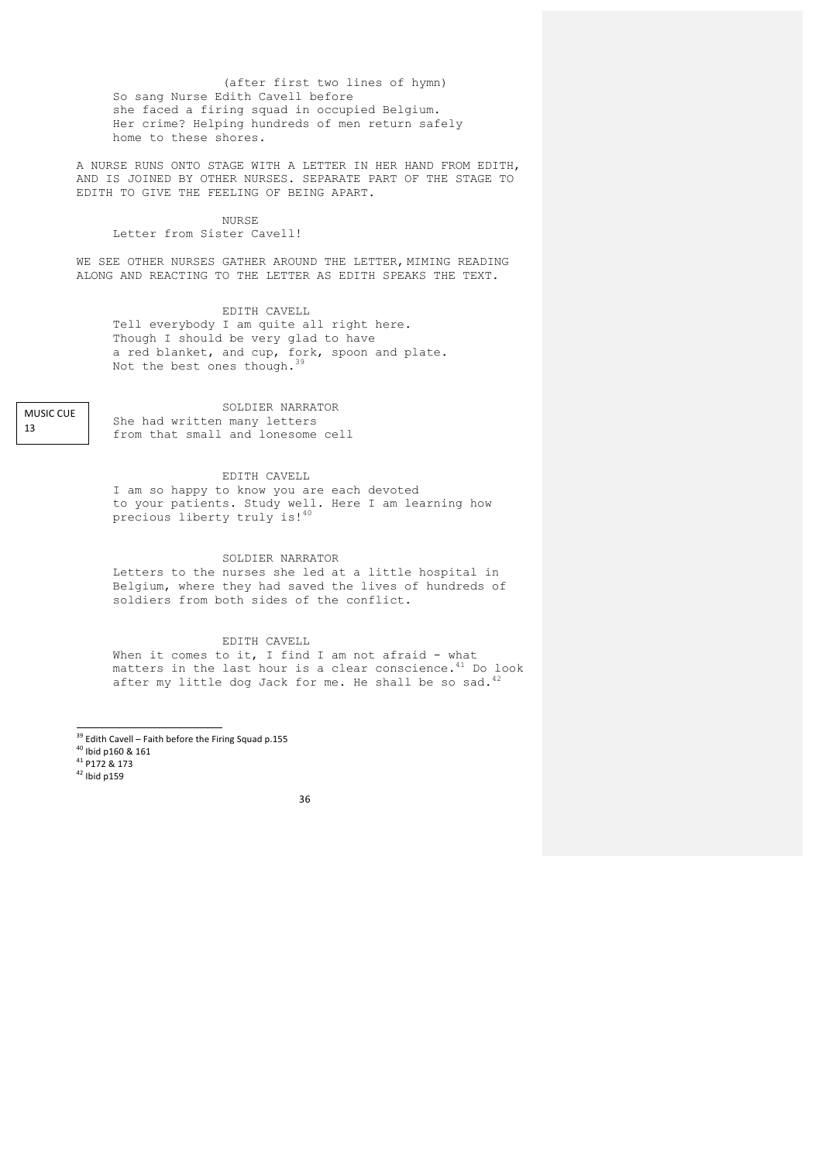(after first two lines of hymn) So sang Nurse Edith Cavell before she faced a firing squad in occupied Belgium. Her crime? Helping hundreds of men return safely home to these shores.

A NURSE RUNS ONTO STAGE WITH A LETTER IN HER HAND FROM EDITH, AND IS JOINED BY OTHER NURSES. SEPARATE PART OF THE STAGE TO EDITH TO GIVE THE FEELING OF BEING APART.

# NURSE.

# Letter from Sister Cavell!

WE SEE OTHER NURSES GATHER AROUND THE LETTER, MIMING READING ALONG AND REACTING TO THE LETTER AS EDITH SPEAKS THE TEXT.

# EDITH CAVELL

Tell everybody I am quite all right here. Though I should be very glad to have a red blanket, and cup, fork, spoon and plate. Not the best ones though.<sup>39</sup>

**MUSIC CUE** 13

SOLDIER NARRATOR She had written many letters from that small and lonesome cell

## EDITH CAVELL

I am so happy to know you are each devoted to your patients. Study well. Here I am learning how precious liberty truly is!40

## SOLDIER NARRATOR

Letters to the nurses she led at a little hospital in Belgium, where they had saved the lives of hundreds of soldiers from both sides of the conflict.

## EDITH CAVELL

When it comes to it, I find I am not afraid - what matters in the last hour is a clear conscience. $^{41}$  Do look after my little dog Jack for me. He shall be so sad. $^{42}$ 

<sup>39</sup> Edith Cavell – Faith before the Firing Squad p.155<br><sup>40</sup> Ibid p160 & 161<br><sup>41</sup> P172 & 173<br><sup>42</sup> Ibid p159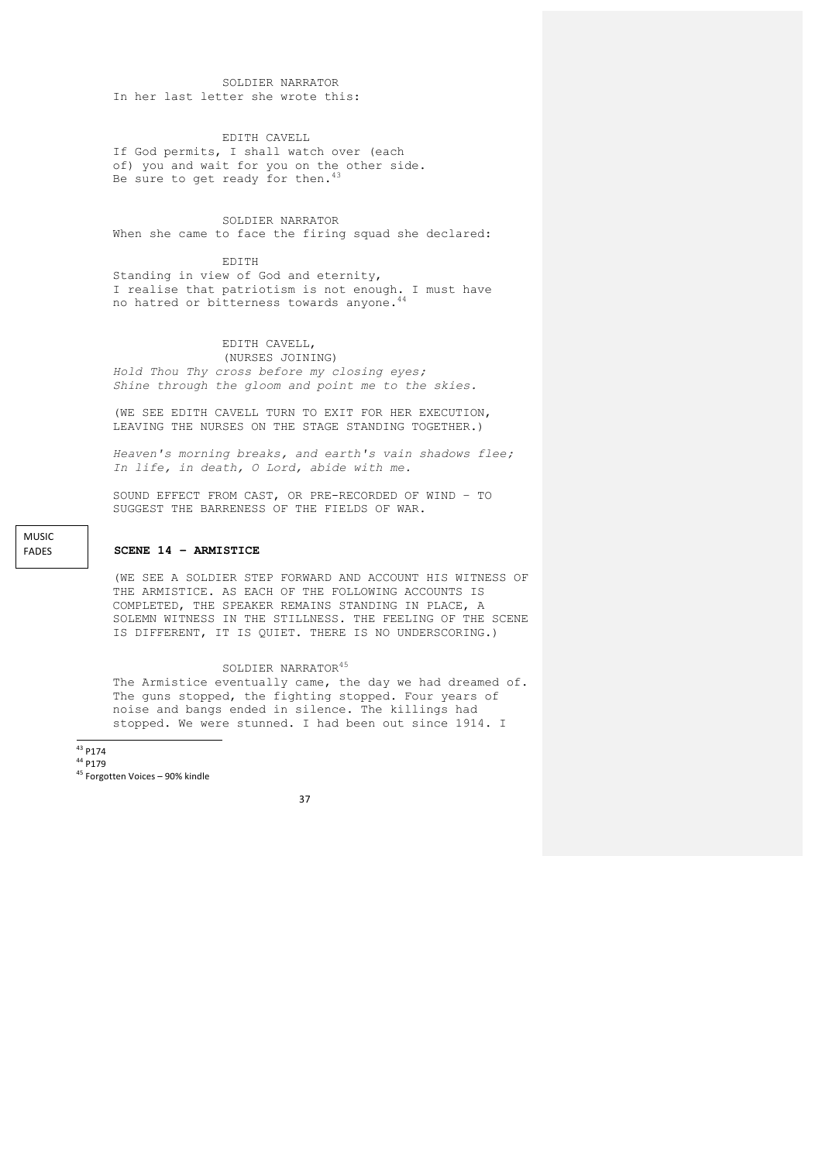SOLDIER NARRATOR In her last letter she wrote this:

EDITH CAVELL

If God permits, I shall watch over (each of) you and wait for you on the other side. Be sure to get ready for then. $43$ 

## SOLDIER NARRATOR When she came to face the firing squad she declared:

EDITH

Standing in view of God and eternity, I realise that patriotism is not enough. I must have no hatred or bitterness towards anyone.<sup>44</sup>

#### EDITH CAVELL, (NURSES JOINING)

*Hold Thou Thy cross before my closing eyes; Shine through the gloom and point me to the skies.*

(WE SEE EDITH CAVELL TURN TO EXIT FOR HER EXECUTION, LEAVING THE NURSES ON THE STAGE STANDING TOGETHER.)

*Heaven's morning breaks, and earth's vain shadows flee; In life, in death, O Lord, abide with me.*

SOUND EFFECT FROM CAST, OR PRE-RECORDED OF WIND – TO SUGGEST THE BARRENESS OF THE FIELDS OF WAR.

## **SCENE 14 – ARMISTICE**

(WE SEE A SOLDIER STEP FORWARD AND ACCOUNT HIS WITNESS OF THE ARMISTICE. AS EACH OF THE FOLLOWING ACCOUNTS IS COMPLETED, THE SPEAKER REMAINS STANDING IN PLACE, A SOLEMN WITNESS IN THE STILLNESS. THE FEELING OF THE SCENE IS DIFFERENT, IT IS QUIET. THERE IS NO UNDERSCORING.)

# SOLDIER NARRATOR<sup>45</sup>

The Armistice eventually came, the day we had dreamed of. The guns stopped, the fighting stopped. Four years of noise and bangs ended in silence. The killings had stopped. We were stunned. I had been out since 1914. I

 $43$  P174

MUSIC FADES

 $^{44}$  P179<br> $^{45}$  Forgotten Voices – 90% kindle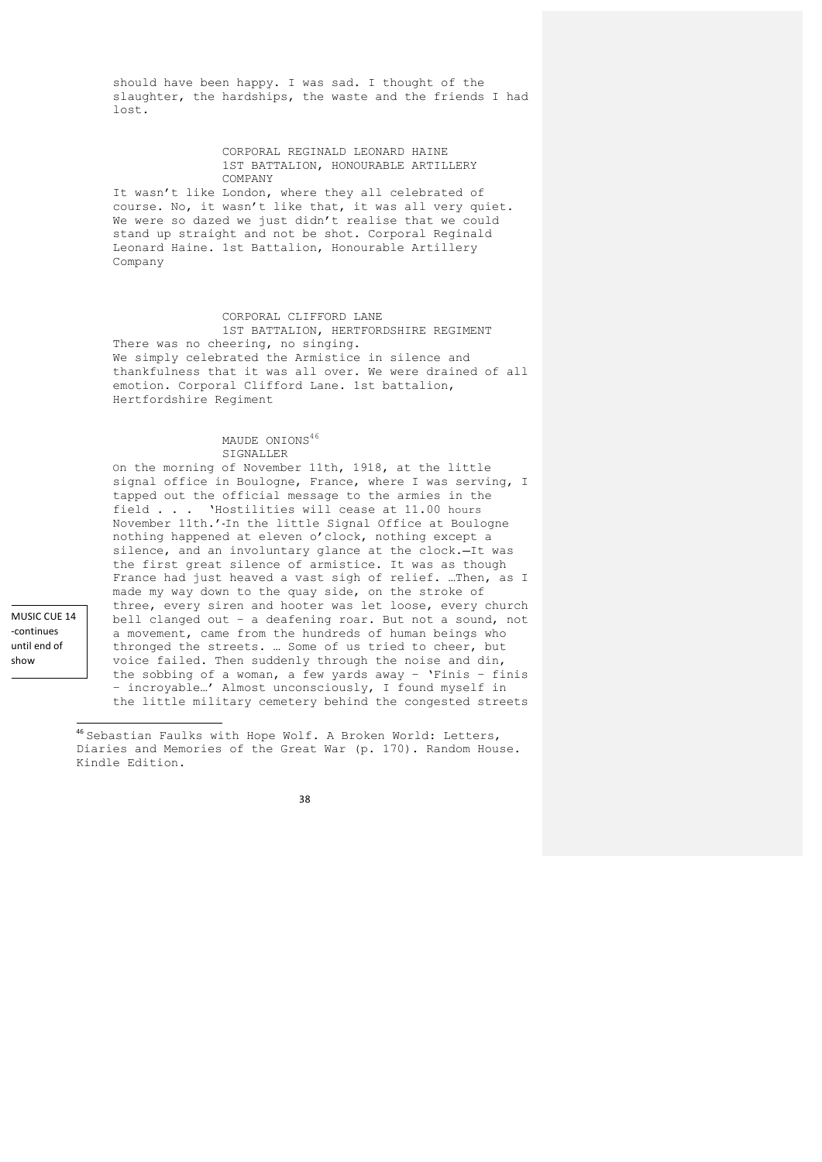should have been happy. I was sad. I thought of the slaughter, the hardships, the waste and the friends I had lost.

#### CORPORAL REGINALD LEONARD HAINE 1ST BATTALION, HONOURABLE ARTILLERY COMPANY

It wasn't like London, where they all celebrated of course. No, it wasn't like that, it was all very quiet. We were so dazed we just didn't realise that we could stand up straight and not be shot. Corporal Reginald Leonard Haine. 1st Battalion, Honourable Artillery Company

# CORPORAL CLIFFORD LANE

1ST BATTALION, HERTFORDSHIRE REGIMENT There was no cheering, no singing. We simply celebrated the Armistice in silence and thankfulness that it was all over. We were drained of all emotion. Corporal Clifford Lane. 1st battalion, Hertfordshire Regiment

## MAUDE ONIONS<sup>46</sup> SIGNALLER

On the morning of November 11th, 1918, at the little signal office in Boulogne, France, where I was serving, I tapped out the official message to the armies in the field . . . 'Hostilities will cease at 11.00 hours November 11th.' In the little Signal Office at Boulogne nothing happened at eleven o'clock, nothing except a silence, and an involuntary glance at the clock.-It was the first great silence of armistice. It was as though France had just heaved a vast sigh of relief. …Then, as I made my way down to the quay side, on the stroke of three, every siren and hooter was let loose, every church bell clanged out – a deafening roar. But not a sound, not a movement, came from the hundreds of human beings who thronged the streets. … Some of us tried to cheer, but voice failed. Then suddenly through the noise and din, the sobbing of a woman, a few yards away – 'Finis – finis – incroyable…' Almost unconsciously, I found myself in the little military cemetery behind the congested streets

<sup>46</sup> Sebastian Faulks with Hope Wolf. A Broken World: Letters, Diaries and Memories of the Great War (p. 170). Random House. Kindle Edition.

38

MUSIC CUE 14 -continues until end of show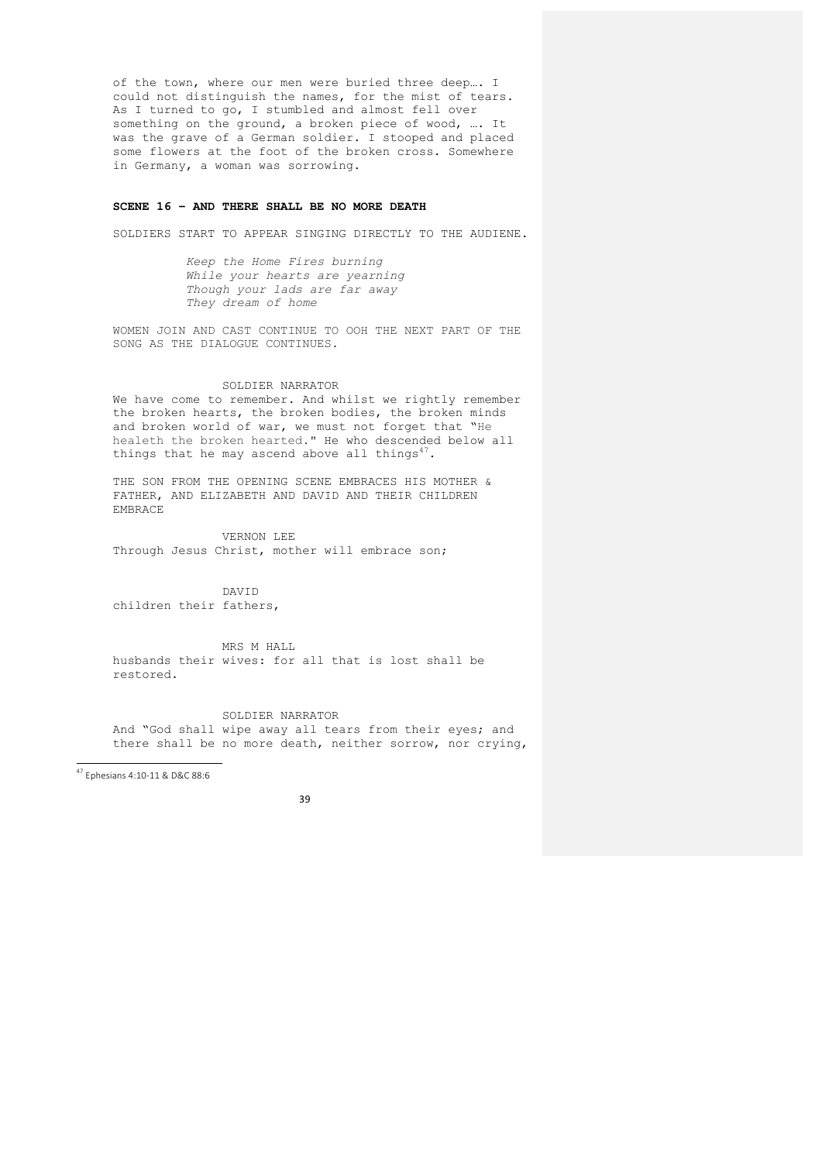of the town, where our men were buried three deep…. I could not distinguish the names, for the mist of tears. As I turned to go, I stumbled and almost fell over something on the ground, a broken piece of wood, …. It was the grave of a German soldier. I stooped and placed some flowers at the foot of the broken cross. Somewhere in Germany, a woman was sorrowing.

# **SCENE 16 – AND THERE SHALL BE NO MORE DEATH**

SOLDIERS START TO APPEAR SINGING DIRECTLY TO THE AUDIENE.

*Keep the Home Fires burning While your hearts are yearning Though your lads are far away They dream of home*

WOMEN JOIN AND CAST CONTINUE TO OOH THE NEXT PART OF THE SONG AS THE DIALOGUE CONTINUES.

#### SOLDIER NARRATOR

We have come to remember. And whilst we rightly remember the broken hearts, the broken bodies, the broken minds and broken world of war, we must not forget that "He healeth the broken hearted." He who descended below all things that he may ascend above all things<sup>47</sup>.

THE SON FROM THE OPENING SCENE EMBRACES HIS MOTHER & FATHER, AND ELIZABETH AND DAVID AND THEIR CHILDREN EMBRACE

VERNON LEE Through Jesus Christ, mother will embrace son;

DAVID

children their fathers,

MRS M HALL husbands their wives: for all that is lost shall be restored.

SOLDIER NARRATOR And "God shall wipe away all tears from their eyes; and there shall be no more death, neither sorrow, nor crying,

 <sup>47</sup> Ephesians 4:10-11 & D&C 88:6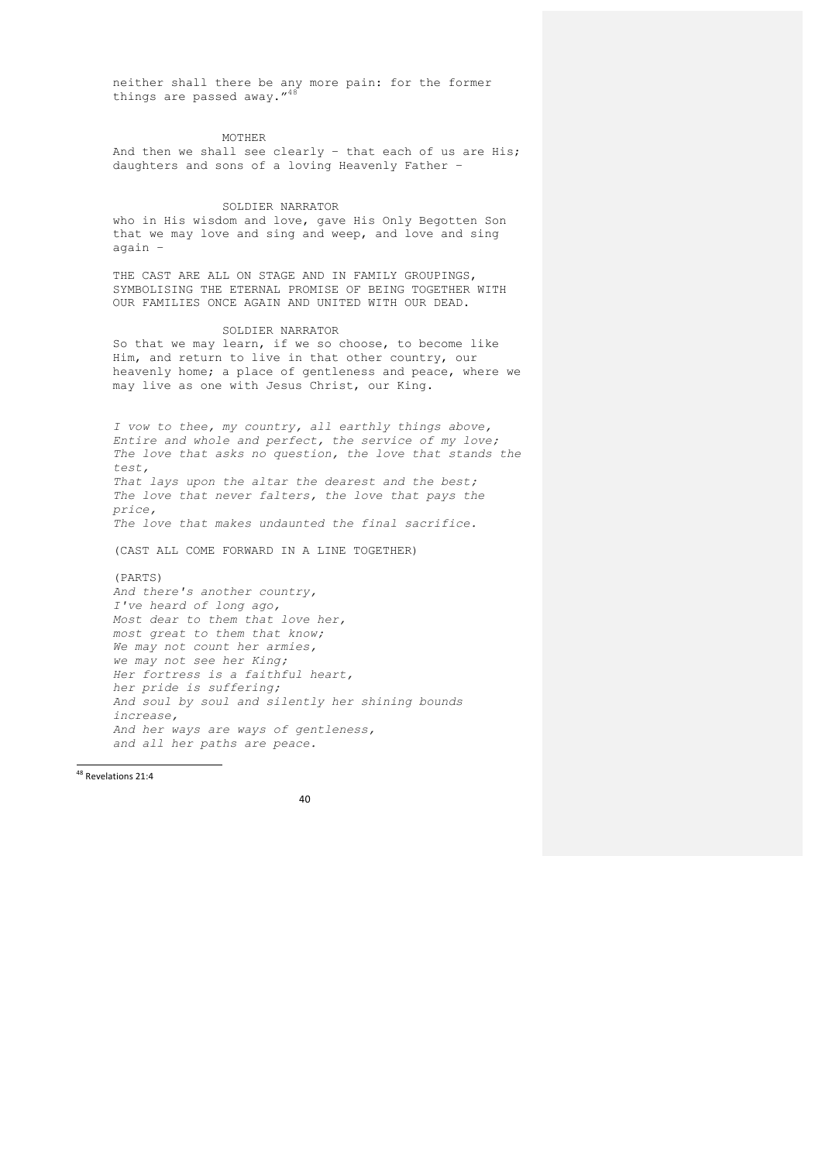neither shall there be any more pain: for the former things are passed away."<sup>48</sup>

MOTHER

And then we shall see clearly – that each of us are His; daughters and sons of a loving Heavenly Father –

#### SOLDIER NARRATOR

who in His wisdom and love, gave His Only Begotten Son that we may love and sing and weep, and love and sing again –

THE CAST ARE ALL ON STAGE AND IN FAMILY GROUPINGS, SYMBOLISING THE ETERNAL PROMISE OF BEING TOGETHER WITH OUR FAMILIES ONCE AGAIN AND UNITED WITH OUR DEAD.

## SOLDIER NARRATOR

So that we may learn, if we so choose, to become like Him, and return to live in that other country, our heavenly home; a place of gentleness and peace, where we may live as one with Jesus Christ, our King.

*I vow to thee, my country, all earthly things above, Entire and whole and perfect, the service of my love; The love that asks no question, the love that stands the test, That lays upon the altar the dearest and the best; The love that never falters, the love that pays the price, The love that makes undaunted the final sacrifice.*

(CAST ALL COME FORWARD IN A LINE TOGETHER)

(PARTS) *And there's another country, I've heard of long ago, Most dear to them that love her, most great to them that know; We may not count her armies, we may not see her King; Her fortress is a faithful heart, her pride is suffering; And soul by soul and silently her shining bounds increase, And her ways are ways of gentleness, and all her paths are peace.*

<sup>48</sup> Revelations 21:4

<u> Andrew Maria (1989)</u>